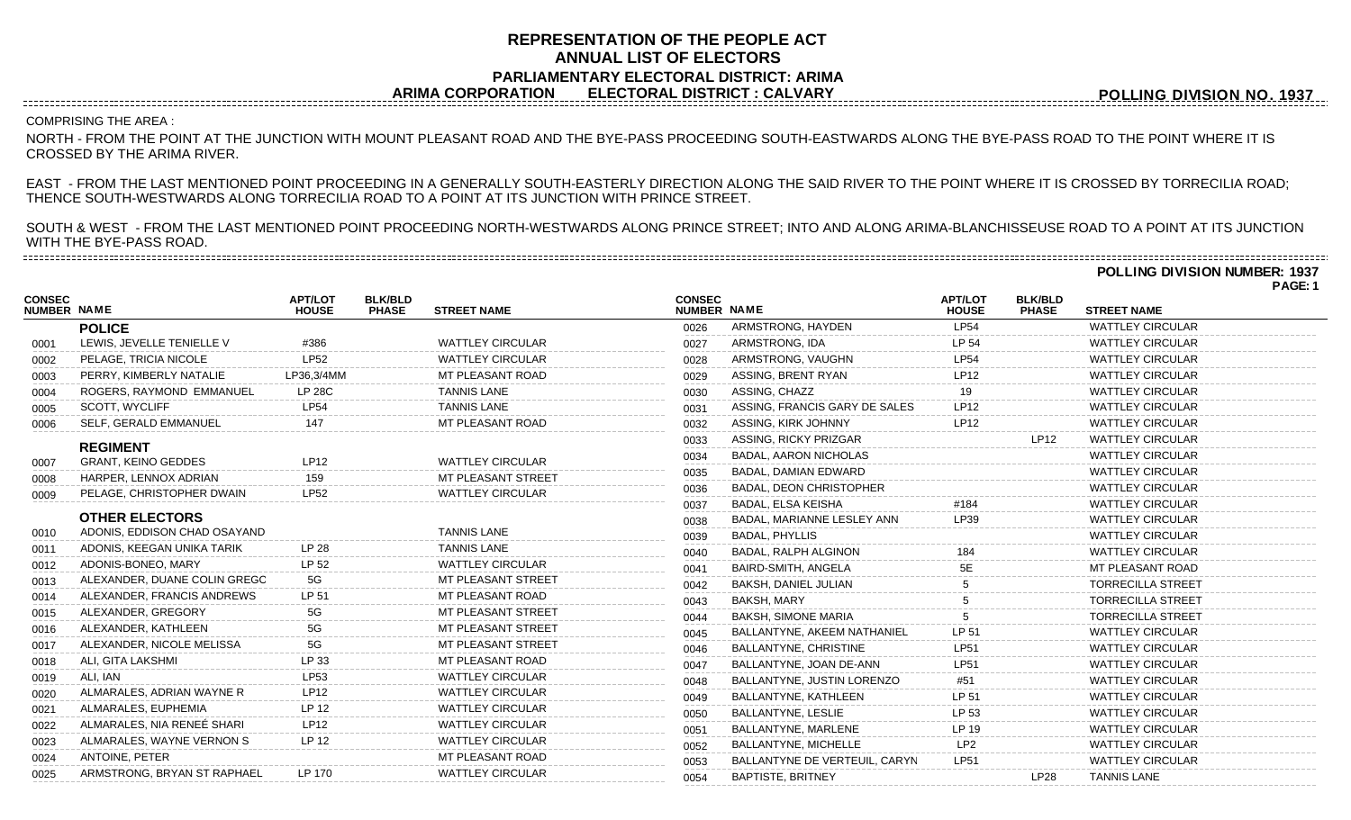## **REPRESENTATION OF THE PEOPLE ACT ANNUAL LIST OF ELECTORS PARLIAMENTARY ELECTORAL DISTRICT: ARIMA ARIMA CORPORATION ELECTORAL DISTRICT : CALVARY**

**POLLING DIVISION NO. 1937**

**POLLING DIVISION NUMBER: 1937**

## COMPRISING THE AREA :

NORTH - FROM THE POINT AT THE JUNCTION WITH MOUNT PLEASANT ROAD AND THE BYE-PASS PROCEEDING SOUTH-EASTWARDS ALONG THE BYE-PASS ROAD TO THE POINT WHERE IT IS CROSSED BY THE ARIMA RIVER.

EAST - FROM THE LAST MENTIONED POINT PROCEEDING IN A GENERALLY SOUTH-EASTERLY DIRECTION ALONG THE SAID RIVER TO THE POINT WHERE IT IS CROSSED BY TORRECILIA ROAD; THENCE SOUTH-WESTWARDS ALONG TORRECILIA ROAD TO A POINT AT ITS JUNCTION WITH PRINCE STREET.

SOUTH & WEST - FROM THE LAST MENTIONED POINT PROCEEDING NORTH-WESTWARDS ALONG PRINCE STREET; INTO AND ALONG ARIMA-BLANCHISSEUSE ROAD TO A POINT AT ITS JUNCTION WITH THE BYE-PASS ROAD. 

|                             |                                                                                                                                                                                                                                                                                                                                                                                            |                                                                                                                                |                         |                                                                                                                                                                                                                                                                                      |                                |                                     |                                |                          | PAGE: 1 |
|-----------------------------|--------------------------------------------------------------------------------------------------------------------------------------------------------------------------------------------------------------------------------------------------------------------------------------------------------------------------------------------------------------------------------------------|--------------------------------------------------------------------------------------------------------------------------------|-------------------------|--------------------------------------------------------------------------------------------------------------------------------------------------------------------------------------------------------------------------------------------------------------------------------------|--------------------------------|-------------------------------------|--------------------------------|--------------------------|---------|
| <b>NUMBER NAME</b>          | <b>APT/LOT</b><br><b>HOUSE</b>                                                                                                                                                                                                                                                                                                                                                             | <b>BLK/BLD</b><br><b>PHASE</b>                                                                                                 | <b>STREET NAME</b>      |                                                                                                                                                                                                                                                                                      |                                | <b>APT/LOT</b><br><b>HOUSE</b>      | <b>BLK/BLD</b><br><b>PHASE</b> | <b>STREET NAME</b>       |         |
| <b>POLICE</b>               |                                                                                                                                                                                                                                                                                                                                                                                            |                                                                                                                                |                         | 0026                                                                                                                                                                                                                                                                                 | ARMSTRONG, HAYDEN              | <b>LP54</b>                         |                                | <b>WATTLEY CIRCULAR</b>  |         |
| LEWIS, JEVELLE TENIELLE V   | #386                                                                                                                                                                                                                                                                                                                                                                                       |                                                                                                                                | <b>WATTLEY CIRCULAR</b> | 0027                                                                                                                                                                                                                                                                                 | ARMSTRONG, IDA                 | LP 54                               |                                | <b>WATTLEY CIRCULAR</b>  |         |
| PELAGE, TRICIA NICOLE       | LP52                                                                                                                                                                                                                                                                                                                                                                                       |                                                                                                                                | <b>WATTLEY CIRCULAR</b> | 0028                                                                                                                                                                                                                                                                                 | ARMSTRONG, VAUGHN              | <b>LP54</b>                         |                                | <b>WATTLEY CIRCULAR</b>  |         |
| PERRY, KIMBERLY NATALIE     | LP36,3/4MM                                                                                                                                                                                                                                                                                                                                                                                 |                                                                                                                                | MT PLEASANT ROAD        | 0029                                                                                                                                                                                                                                                                                 | ASSING, BRENT RYAN             | LP12                                |                                | <b>WATTLEY CIRCULAR</b>  |         |
| ROGERS, RAYMOND EMMANUEL    | <b>LP 28C</b>                                                                                                                                                                                                                                                                                                                                                                              |                                                                                                                                | <b>TANNIS LANE</b>      | 0030                                                                                                                                                                                                                                                                                 | ASSING, CHAZZ                  | 19                                  |                                | <b>WATTLEY CIRCULAR</b>  |         |
| SCOTT, WYCLIFF              | <b>LP54</b>                                                                                                                                                                                                                                                                                                                                                                                |                                                                                                                                | <b>TANNIS LANE</b>      | 0031                                                                                                                                                                                                                                                                                 | ASSING, FRANCIS GARY DE SALES  | <b>LP12</b>                         |                                | <b>WATTLEY CIRCULAR</b>  |         |
| SELF, GERALD EMMANUEL       | 147                                                                                                                                                                                                                                                                                                                                                                                        |                                                                                                                                | MT PLEASANT ROAD        | 0032                                                                                                                                                                                                                                                                                 | ASSING, KIRK JOHNNY            | <b>LP12</b>                         |                                | <b>WATTLEY CIRCULAR</b>  |         |
|                             |                                                                                                                                                                                                                                                                                                                                                                                            |                                                                                                                                |                         | 0033                                                                                                                                                                                                                                                                                 | ASSING, RICKY PRIZGAR          |                                     | <b>LP12</b>                    | <b>WATTLEY CIRCULAR</b>  |         |
|                             |                                                                                                                                                                                                                                                                                                                                                                                            |                                                                                                                                |                         | 0034                                                                                                                                                                                                                                                                                 | <b>BADAL, AARON NICHOLAS</b>   |                                     |                                | <b>WATTLEY CIRCULAR</b>  |         |
|                             |                                                                                                                                                                                                                                                                                                                                                                                            |                                                                                                                                |                         | 0035                                                                                                                                                                                                                                                                                 | <b>BADAL, DAMIAN EDWARD</b>    |                                     |                                | <b>WATTLEY CIRCULAR</b>  |         |
|                             |                                                                                                                                                                                                                                                                                                                                                                                            |                                                                                                                                |                         | 0036                                                                                                                                                                                                                                                                                 | <b>BADAL, DEON CHRISTOPHER</b> |                                     |                                | <b>WATTLEY CIRCULAR</b>  |         |
|                             |                                                                                                                                                                                                                                                                                                                                                                                            |                                                                                                                                |                         | 0037                                                                                                                                                                                                                                                                                 | BADAL, ELSA KEISHA             | #184                                |                                | <b>WATTLEY CIRCULAR</b>  |         |
|                             |                                                                                                                                                                                                                                                                                                                                                                                            |                                                                                                                                |                         | 0038                                                                                                                                                                                                                                                                                 | BADAL, MARIANNE LESLEY ANN     | LP39                                |                                | <b>WATTLEY CIRCULAR</b>  |         |
|                             |                                                                                                                                                                                                                                                                                                                                                                                            |                                                                                                                                |                         | 0039                                                                                                                                                                                                                                                                                 | <b>BADAL, PHYLLIS</b>          |                                     |                                | <b>WATTLEY CIRCULAR</b>  |         |
|                             |                                                                                                                                                                                                                                                                                                                                                                                            |                                                                                                                                |                         | 0040                                                                                                                                                                                                                                                                                 | BADAL, RALPH ALGINON           | 184                                 |                                | <b>WATTLEY CIRCULAR</b>  |         |
|                             |                                                                                                                                                                                                                                                                                                                                                                                            |                                                                                                                                |                         | 0041                                                                                                                                                                                                                                                                                 | BAIRD-SMITH, ANGELA            |                                     |                                | <b>MT PLEASANT ROAD</b>  |         |
|                             |                                                                                                                                                                                                                                                                                                                                                                                            |                                                                                                                                |                         | 0042                                                                                                                                                                                                                                                                                 | BAKSH, DANIEL JULIAN           |                                     |                                | <b>TORRECILLA STREET</b> |         |
|                             |                                                                                                                                                                                                                                                                                                                                                                                            |                                                                                                                                |                         | 0043                                                                                                                                                                                                                                                                                 | BAKSH, MARY                    |                                     |                                | <b>TORRECILLA STREET</b> |         |
|                             |                                                                                                                                                                                                                                                                                                                                                                                            |                                                                                                                                |                         | 0044                                                                                                                                                                                                                                                                                 | <b>BAKSH, SIMONE MARIA</b>     |                                     |                                | <b>TORRECILLA STREET</b> |         |
| ALEXANDER, KATHLEEN         |                                                                                                                                                                                                                                                                                                                                                                                            |                                                                                                                                |                         | 0045                                                                                                                                                                                                                                                                                 | BALLANTYNE, AKEEM NATHANIEL    | LP 51                               |                                | <b>WATTLEY CIRCULAR</b>  |         |
| ALEXANDER, NICOLE MELISSA   | 5G                                                                                                                                                                                                                                                                                                                                                                                         |                                                                                                                                | MT PLEASANT STREET      | 0046                                                                                                                                                                                                                                                                                 | BALLANTYNE, CHRISTINE          | <b>LP51</b>                         |                                | <b>WATTLEY CIRCULAR</b>  |         |
|                             |                                                                                                                                                                                                                                                                                                                                                                                            |                                                                                                                                |                         | 0047                                                                                                                                                                                                                                                                                 | BALLANTYNE, JOAN DE-ANN        | LP51                                |                                | <b>WATTLEY CIRCULAR</b>  |         |
|                             |                                                                                                                                                                                                                                                                                                                                                                                            |                                                                                                                                |                         | 0048                                                                                                                                                                                                                                                                                 | BALLANTYNE, JUSTIN LORENZO     | #51                                 |                                | <b>WATTLEY CIRCULAR</b>  |         |
| ALMARALES, ADRIAN WAYNE R   | <b>LP12</b>                                                                                                                                                                                                                                                                                                                                                                                |                                                                                                                                | <b>WATTLEY CIRCULAR</b> | 0049                                                                                                                                                                                                                                                                                 | BALLANTYNE, KATHLEEN           | LP 51                               |                                | <b>WATTLEY CIRCULAR</b>  |         |
|                             |                                                                                                                                                                                                                                                                                                                                                                                            |                                                                                                                                | <b>WATTLEY CIRCULAR</b> | 0050                                                                                                                                                                                                                                                                                 | <b>BALLANTYNE, LESLIE</b>      | LP 53                               |                                | <b>WATTLEY CIRCULAR</b>  |         |
|                             |                                                                                                                                                                                                                                                                                                                                                                                            |                                                                                                                                | <b>WATTLEY CIRCULAR</b> | 0051                                                                                                                                                                                                                                                                                 | BALLANTYNE, MARLENE            | LP 19                               |                                | <b>WATTLEY CIRCULAR</b>  |         |
| ALMARALES, WAYNE VERNON S   | LP 12                                                                                                                                                                                                                                                                                                                                                                                      |                                                                                                                                | <b>WATTLEY CIRCULAR</b> | 0052                                                                                                                                                                                                                                                                                 | BALLANTYNE, MICHELLE           | LP2                                 |                                | <b>WATTLEY CIRCULAR</b>  |         |
| <b>ANTOINE, PETER</b>       |                                                                                                                                                                                                                                                                                                                                                                                            |                                                                                                                                | <b>MT PLEASANT ROAD</b> | 0053                                                                                                                                                                                                                                                                                 | BALLANTYNE DE VERTEUIL, CARYN  | <b>LP51</b>                         |                                | <b>WATTLEY CIRCULAR</b>  |         |
| ARMSTRONG, BRYAN ST RAPHAEL | LP 170                                                                                                                                                                                                                                                                                                                                                                                     |                                                                                                                                | <b>WATTLEY CIRCULAR</b> | 0054                                                                                                                                                                                                                                                                                 | <b>BAPTISTE, BRITNEY</b>       |                                     | LP28                           | <b>TANNIS LANE</b>       |         |
|                             | <b>REGIMENT</b><br><b>GRANT, KEINO GEDDES</b><br>HARPER, LENNOX ADRIAN<br>PELAGE, CHRISTOPHER DWAIN<br><b>OTHER ELECTORS</b><br>ADONIS, EDDISON CHAD OSAYAND<br>ADONIS, KEEGAN UNIKA TARIK<br>ADONIS-BONEO, MARY<br>ALEXANDER, DUANE COLIN GREGO<br>ALEXANDER, FRANCIS ANDREWS<br>ALEXANDER, GREGORY<br>ALI, GITA LAKSHMI<br>ALI, IAN<br>ALMARALES, EUPHEMIA<br>ALMARALES, NIA RENEÉ SHARI | <b>LP12</b><br>159<br><b>LP52</b><br><b>LP 28</b><br>LP 52<br>5G<br>LP 51<br>5G<br>5G<br>LP 33<br>LP53<br>LP 12<br><b>LP12</b> |                         | <b>WATTLEY CIRCULAR</b><br>MT PLEASANT STREET<br><b>WATTLEY CIRCULAR</b><br><b>TANNIS LANE</b><br><b>TANNIS LANE</b><br><b>WATTLEY CIRCULAR</b><br>MT PLEASANT STREET<br>MT PLEASANT ROAD<br>MT PLEASANT STREET<br>MT PLEASANT STREET<br>MT PLEASANT ROAD<br><b>WATTLEY CIRCULAR</b> |                                | <b>CONSEC</b><br><b>NUMBER NAME</b> |                                |                          |         |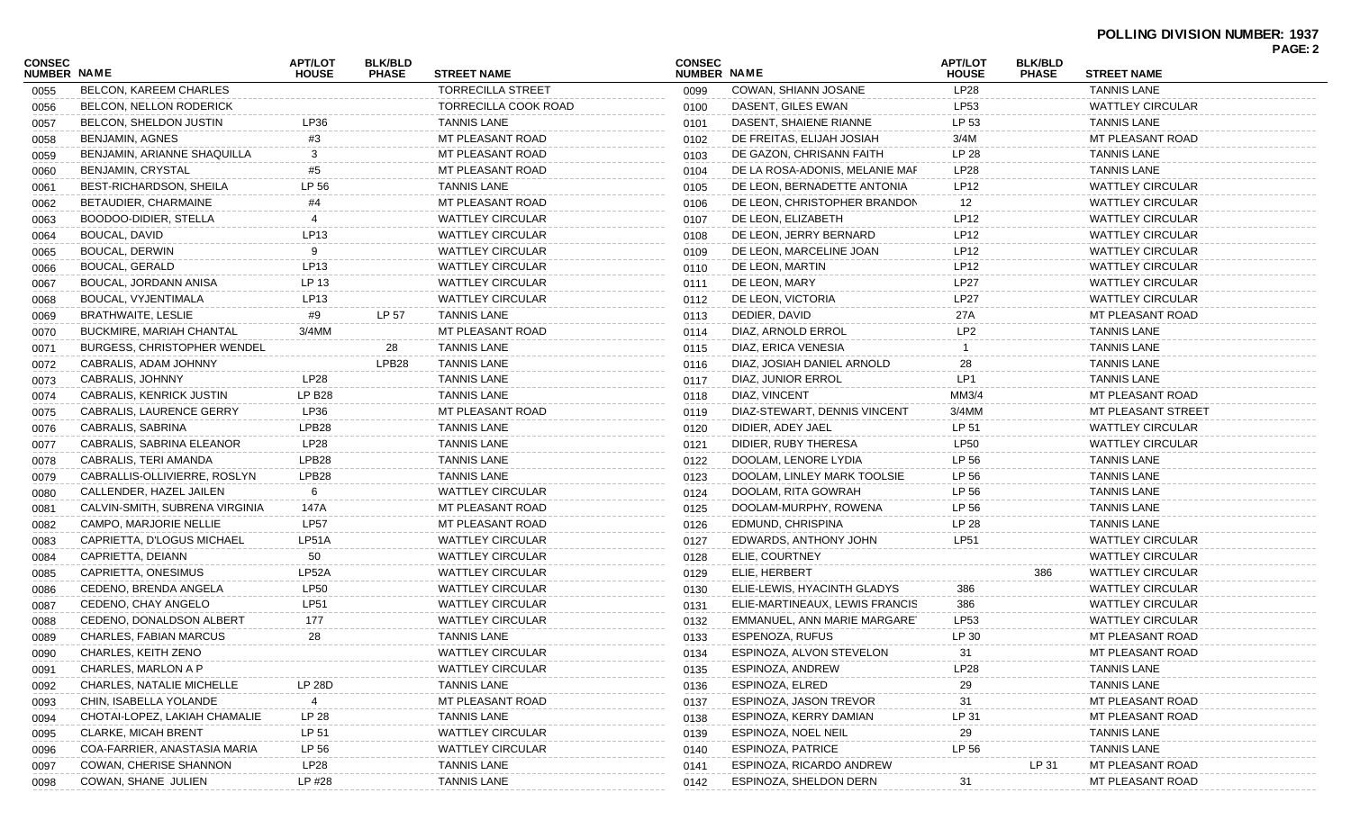| CONSEC<br><b>NUMBER NAME</b> |                                    | <b>APT/LOT</b><br><b>HOUSE</b> | <b>BLK/BLD</b><br><b>PHASE</b> | <b>STREET NAME</b>       | <b>CONSEC</b><br><b>NUMBER NAME</b> |                                | <b>APT/LOT</b><br><b>HOUSE</b> | <b>BLK/BLD</b><br><b>PHASE</b> | <b>STREET NAME</b>      | PAGE: 2 |
|------------------------------|------------------------------------|--------------------------------|--------------------------------|--------------------------|-------------------------------------|--------------------------------|--------------------------------|--------------------------------|-------------------------|---------|
| 0055                         | BELCON, KAREEM CHARLES             |                                |                                | <b>TORRECILLA STREET</b> | 0099                                | COWAN, SHIANN JOSANE           | <b>LP28</b>                    |                                | <b>TANNIS LANE</b>      |         |
| 0056                         | BELCON, NELLON RODERICK            |                                |                                | TORRECILLA COOK ROAD     | 0100                                | DASENT, GILES EWAN             | LP53                           |                                | <b>WATTLEY CIRCULAR</b> |         |
| 0057                         | BELCON, SHELDON JUSTIN             | LP36                           |                                | <b>TANNIS LANE</b>       | 0101                                | DASENT, SHAIENE RIANNE         | LP 53                          |                                | <b>TANNIS LANE</b>      |         |
| 0058                         | BENJAMIN, AGNES                    | #3                             |                                | <b>MT PLEASANT ROAD</b>  | 0102                                | DE FREITAS, ELIJAH JOSIAH      | 3/4M                           |                                | MT PLEASANT ROAD        |         |
| 0059                         | BENJAMIN, ARIANNE SHAQUILLA        | 3                              |                                | MT PLEASANT ROAD         | 0103                                | DE GAZON, CHRISANN FAITH       | LP 28                          |                                | <b>TANNIS LANE</b>      |         |
| 0060                         | BENJAMIN, CRYSTAL                  | #5                             |                                | MT PLEASANT ROAD         | 0104                                | DE LA ROSA-ADONIS, MELANIE MAF | LP28                           |                                | <b>TANNIS LANE</b>      |         |
| 0061                         | BEST-RICHARDSON, SHEILA            | LP 56                          |                                | <b>TANNIS LANE</b>       | 0105                                | DE LEON. BERNADETTE ANTONIA    | LP12                           |                                | <b>WATTLEY CIRCULAR</b> |         |
| 0062                         | BETAUDIER, CHARMAINE               | #4                             |                                | MT PLEASANT ROAD         | 0106                                | DE LEON, CHRISTOPHER BRANDON   | 12                             |                                | <b>WATTLEY CIRCULAR</b> |         |
| 0063                         | BOODOO-DIDIER, STELLA              |                                |                                | <b>WATTLEY CIRCULAR</b>  | 0107                                | DE LEON, ELIZABETH             | LP12                           |                                | <b>WATTLEY CIRCULAR</b> |         |
| 0064                         | BOUCAL, DAVID                      | LP13                           |                                | <b>WATTLEY CIRCULAR</b>  | 0108                                | DE LEON, JERRY BERNARD         | <b>LP12</b>                    |                                | <b>WATTLEY CIRCULAR</b> |         |
| 0065                         | BOUCAL, DERWIN                     | 9                              |                                | <b>WATTLEY CIRCULAR</b>  | 0109                                | DE LEON, MARCELINE JOAN        | LP12                           |                                | <b>WATTLEY CIRCULAR</b> |         |
| 0066                         | BOUCAL, GERALD                     | LP13                           |                                | <b>WATTLEY CIRCULAR</b>  | 0110                                | DE LEON, MARTIN                | LP12                           |                                | <b>WATTLEY CIRCULAR</b> |         |
| 0067                         | BOUCAL, JORDANN ANISA              | LP 13                          |                                | <b>WATTLEY CIRCULAR</b>  | 0111                                | DE LEON, MARY                  | <b>LP27</b>                    |                                | <b>WATTLEY CIRCULAR</b> |         |
| 0068                         | BOUCAL, VYJENTIMALA                | LP <sub>13</sub>               |                                | <b>WATTLEY CIRCULAR</b>  | 0112                                | DE LEON, VICTORIA              | <b>LP27</b>                    |                                | <b>WATTLEY CIRCULAR</b> |         |
| 0069                         | <b>BRATHWAITE, LESLIE</b>          | #9                             | LP 57                          | <b>TANNIS LANE</b>       | 0113                                | DEDIER, DAVID                  | 27A                            |                                | MT PLEASANT ROAD        |         |
| 0070                         | <b>BUCKMIRE, MARIAH CHANTAL</b>    | 3/4MM                          |                                | MT PLEASANT ROAD         | 0114                                | DIAZ, ARNOLD ERROL             | LP <sub>2</sub>                |                                | <b>TANNIS LANE</b>      |         |
| 0071                         | <b>BURGESS, CHRISTOPHER WENDEL</b> |                                | 28                             | <b>TANNIS LANE</b>       | 0115                                | DIAZ, ERICA VENESIA            |                                |                                | <b>TANNIS LANE</b>      |         |
| 0072                         | CABRALIS, ADAM JOHNNY              |                                | LPB28                          | <b>TANNIS LANE</b>       | 0116                                | DIAZ, JOSIAH DANIEL ARNOLD     | 28                             |                                | <b>TANNIS LANE</b>      |         |
| 0073                         | CABRALIS, JOHNNY                   | LP28                           |                                | <b>TANNIS LANE</b>       | 0117                                | DIAZ, JUNIOR ERROL             | LP1                            |                                | <b>TANNIS LANE</b>      |         |
| 0074                         | CABRALIS, KENRICK JUSTIN           | <b>LP B28</b>                  |                                | <b>TANNIS LANE</b>       | 0118                                | DIAZ, VINCENT                  | MM3/4                          |                                | MT PLEASANT ROAD        |         |
| 0075                         | CABRALIS, LAURENCE GERRY           | LP36                           |                                | MT PLEASANT ROAD         | 0119                                | DIAZ-STEWART, DENNIS VINCENT   | $3/4$ MM                       |                                | MT PLEASANT STREET      |         |
| 0076                         | CABRALIS, SABRINA                  | LPB <sub>28</sub>              |                                | <b>TANNIS LANE</b>       | 0120                                | DIDIER, ADEY JAEL              | LP 51                          |                                | <b>WATTLEY CIRCULAR</b> |         |
| 0077                         | CABRALIS, SABRINA ELEANOR          | <b>LP28</b>                    |                                | <b>TANNIS LANE</b>       | 0121                                | DIDIER, RUBY THERESA           | <b>LP50</b>                    |                                | <b>WATTLEY CIRCULAR</b> |         |
| 0078                         | CABRALIS, TERI AMANDA              | LPB <sub>28</sub>              |                                | <b>TANNIS LANE</b>       | 0122                                | DOOLAM, LENORE LYDIA           | LP 56                          |                                | <b>TANNIS LANE</b>      |         |
| 0079                         | CABRALLIS-OLLIVIERRE, ROSLYN       | LPB28                          |                                | <b>TANNIS LANE</b>       | 0123                                | DOOLAM, LINLEY MARK TOOLSIE    | LP 56                          |                                | <b>TANNIS LANE</b>      |         |
| 0080                         | CALLENDER, HAZEL JAILEN            | 6                              |                                | <b>WATTLEY CIRCULAR</b>  | 0124                                | DOOLAM, RITA GOWRAH            | LP 56                          |                                | <b>TANNIS LANE</b>      |         |
| 0081                         | CALVIN-SMITH, SUBRENA VIRGINIA     | 147A                           |                                | MT PLEASANT ROAD         | 0125                                | DOOLAM-MURPHY, ROWENA          | LP 56                          |                                | <b>TANNIS LANE</b>      |         |
| 0082                         | CAMPO, MARJORIE NELLIE             | <b>LP57</b>                    |                                | MT PLEASANT ROAD         | 0126                                | EDMUND, CHRISPINA              | LP 28                          |                                | <b>TANNIS LANE</b>      |         |
| 0083                         | CAPRIETTA, D'LOGUS MICHAEL         | LP51A                          |                                | <b>WATTLEY CIRCULAR</b>  | 0127                                | EDWARDS, ANTHONY JOHN          | <b>LP51</b>                    |                                | <b>WATTLEY CIRCULAR</b> |         |
| 0084                         | CAPRIETTA, DEIANN                  | 50                             |                                | <b>WATTLEY CIRCULAR</b>  | 0128                                | ELIE, COURTNEY                 |                                |                                | <b>WATTLEY CIRCULAR</b> |         |
| 0085                         | CAPRIETTA, ONESIMUS                | LP52A                          |                                | <b>WATTLEY CIRCULAR</b>  | 0129                                | ELIE, HERBERT                  |                                | 386                            | <b>WATTLEY CIRCULAR</b> |         |
| 0086                         | CEDENO, BRENDA ANGELA              | <b>LP50</b>                    |                                | <b>WATTLEY CIRCULAR</b>  | 0130                                | ELIE-LEWIS, HYACINTH GLADYS    | 386                            |                                | <b>WATTLEY CIRCULAR</b> |         |
| 0087                         | CEDENO, CHAY ANGELO                | <b>LP51</b>                    |                                | <b>WATTLEY CIRCULAR</b>  | 0131                                | ELIE-MARTINEAUX, LEWIS FRANCIS | 386                            |                                | <b>WATTLEY CIRCULAR</b> |         |
| 0088                         | CEDENO, DONALDSON ALBERT           | 177                            |                                | <b>WATTLEY CIRCULAR</b>  | 0132                                | EMMANUEL, ANN MARIE MARGARET   | LP53                           |                                | <b>WATTLEY CIRCULAR</b> |         |
| 0089                         | <b>CHARLES, FABIAN MARCUS</b>      | 28                             |                                | <b>TANNIS LANE</b>       | 0133                                | <b>ESPENOZA, RUFUS</b>         | LP 30                          |                                | MT PLEASANT ROAD        |         |
| 0090                         | CHARLES, KEITH ZENO                |                                |                                | <b>WATTLEY CIRCULAR</b>  | 0134                                | ESPINOZA, ALVON STEVELON       | 31                             |                                | MT PLEASANT ROAD        |         |
| 0091                         | CHARLES, MARLON A P                |                                |                                | <b>WATTLEY CIRCULAR</b>  | 0135                                | ESPINOZA, ANDREW               | <b>LP28</b>                    |                                | <b>TANNIS LANE</b>      |         |
| 0092                         | CHARLES, NATALIE MICHELLE          | LP 28D                         |                                | <b>TANNIS LANE</b>       | 0136                                | ESPINOZA, ELRED                | 29                             |                                | <b>TANNIS LANE</b>      |         |
| 0093                         | CHIN, ISABELLA YOLANDE             |                                |                                | MT PLEASANT ROAD         | 0137                                | ESPINOZA, JASON TREVOR         | 31                             |                                | MT PLEASANT ROAD        |         |
| 0094                         | CHOTAI-LOPEZ, LAKIAH CHAMALIE      | LP 28                          |                                | <b>TANNIS LANE</b>       | 0138                                | ESPINOZA, KERRY DAMIAN         | LP 31                          |                                | MT PLEASANT ROAD        |         |
| 0095                         | <b>CLARKE, MICAH BRENT</b>         | LP 51                          |                                | <b>WATTLEY CIRCULAR</b>  | 0139                                | ESPINOZA, NOEL NEIL            | 29                             |                                | <b>TANNIS LANE</b>      |         |
| 0096                         | COA-FARRIER, ANASTASIA MARIA       | LP 56                          |                                | <b>WATTLEY CIRCULAR</b>  | 0140                                | ESPINOZA, PATRICE              | LP 56                          |                                | <b>TANNIS LANE</b>      |         |
| 0097                         | <b>COWAN, CHERISE SHANNON</b>      | <b>LP28</b>                    |                                | <b>TANNIS LANE</b>       | 0141                                | ESPINOZA, RICARDO ANDREW       |                                | LP 31                          | MT PLEASANT ROAD        |         |
| 0098                         | COWAN, SHANE JULIEN                | LP #28                         |                                | <b>TANNIS LANE</b>       | 0142                                | ESPINOZA, SHELDON DERN         | 31                             |                                | MT PLEASANT ROAD        |         |
|                              |                                    |                                |                                |                          |                                     |                                |                                |                                |                         |         |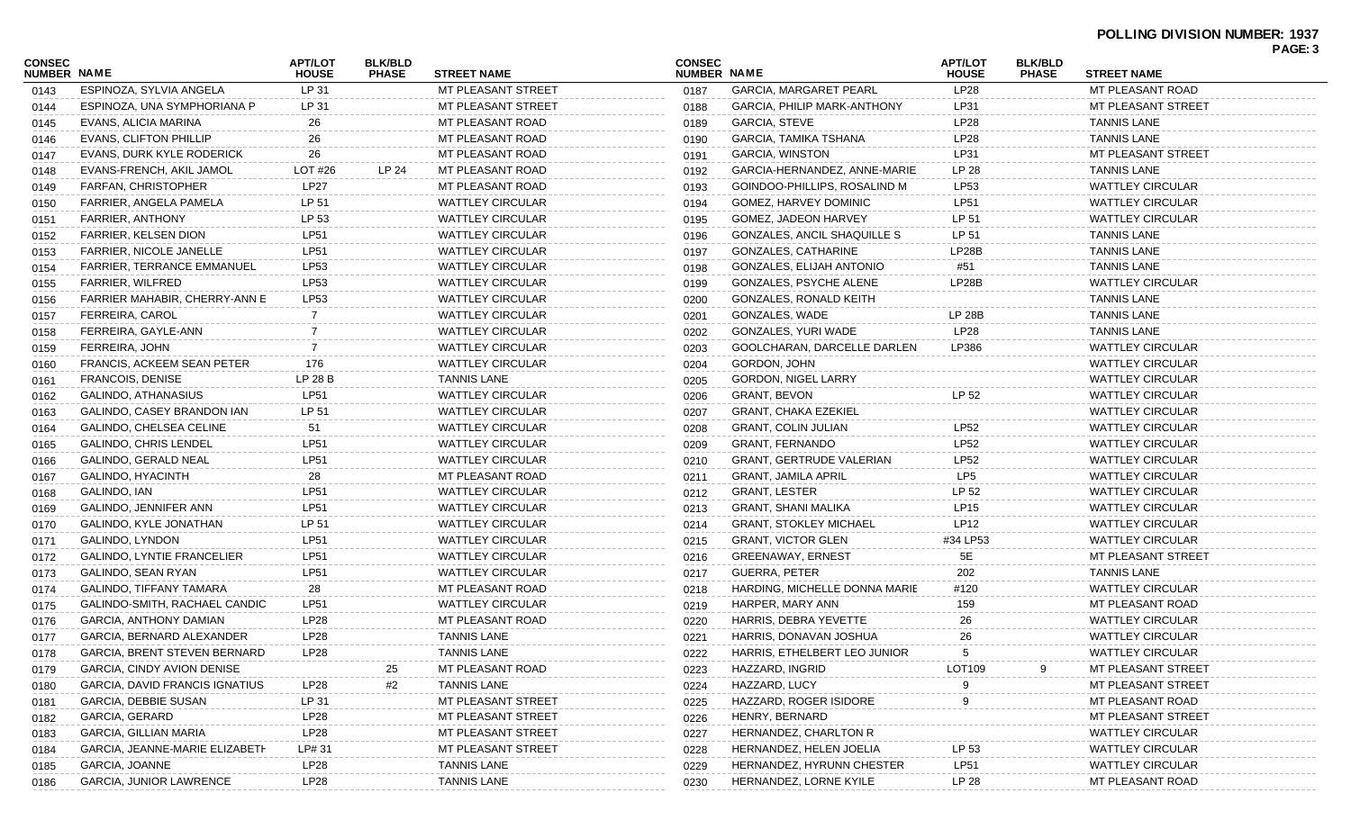| <b>CONSEC</b><br><b>NUMBER NAME</b> |                                     | <b>APT/LOT</b><br><b>HOUSE</b> | <b>BLK/BLD</b><br><b>PHASE</b> | <b>STREET NAME</b>      | <b>CONSEC</b><br><b>NUMBER NAME</b> |                                    | <b>APT/LOT</b><br><b>HOUSE</b> | <b>BLK/BLD</b><br><b>PHASE</b> | <b>STREET NAME</b>      | PAGE: 3 |
|-------------------------------------|-------------------------------------|--------------------------------|--------------------------------|-------------------------|-------------------------------------|------------------------------------|--------------------------------|--------------------------------|-------------------------|---------|
| 0143                                | ESPINOZA, SYLVIA ANGELA             | LP 31                          |                                | MT PLEASANT STREET      | 0187                                | <b>GARCIA, MARGARET PEARL</b>      | <b>LP28</b>                    |                                | MT PLEASANT ROAD        |         |
| 0144                                | ESPINOZA, UNA SYMPHORIANA P         | LP 31                          |                                | MT PLEASANT STREET      | 0188                                | <b>GARCIA, PHILIP MARK-ANTHONY</b> | LP31                           |                                | MT PLEASANT STREET      |         |
| 0145                                | EVANS, ALICIA MARINA                | 26                             |                                | MT PLEASANT ROAD        | 0189                                | <b>GARCIA, STEVE</b>               | LP28                           |                                | <b>TANNIS LANE</b>      |         |
| 0146                                | EVANS, CLIFTON PHILLIP              | 26                             |                                | MT PLEASANT ROAD        | 0190                                | GARCIA, TAMIKA TSHANA              | LP28                           |                                | <b>TANNIS LANE</b>      |         |
| 0147                                | EVANS, DURK KYLE RODERICK           | 26                             |                                | MT PLEASANT ROAD        | 0191                                | <b>GARCIA, WINSTON</b>             | LP31                           |                                | MT PLEASANT STREET      |         |
| 0148                                | EVANS-FRENCH, AKIL JAMOL            | LOT #26                        | LP 24                          | MT PLEASANT ROAD        | 0192                                | GARCIA-HERNANDEZ, ANNE-MARIE       | LP 28                          |                                | <b>TANNIS LANE</b>      |         |
| 0149                                | <b>FARFAN, CHRISTOPHER</b>          | LP27                           |                                | MT PLEASANT ROAD        | 0193                                | GOINDOO-PHILLIPS, ROSALIND M       | LP53                           |                                | <b>WATTLEY CIRCULAR</b> |         |
| 0150                                | FARRIER, ANGELA PAMELA              | LP 51                          |                                | <b>WATTLEY CIRCULAR</b> | 0194                                | <b>GOMEZ, HARVEY DOMINIC</b>       | <b>LP51</b>                    |                                | <b>WATTLEY CIRCULAR</b> |         |
| 0151                                | <b>FARRIER, ANTHONY</b>             | LP 53                          |                                | <b>WATTLEY CIRCULAR</b> | 0195                                | GOMEZ, JADEON HARVEY               | LP 51                          |                                | <b>WATTLEY CIRCULAR</b> |         |
| 0152                                | FARRIER, KELSEN DION                | LP51                           |                                | <b>WATTLEY CIRCULAR</b> | 0196                                | GONZALES, ANCIL SHAQUILLE S        | LP 51                          |                                | <b>TANNIS LANE</b>      |         |
| 0153                                | FARRIER, NICOLE JANELLE             | LP51                           |                                | <b>WATTLEY CIRCULAR</b> | 0197                                | GONZALES, CATHARINE                | LP28B                          |                                | <b>TANNIS LANE</b>      |         |
| 0154                                | <b>FARRIER, TERRANCE EMMANUEL</b>   | LP53                           |                                | <b>WATTLEY CIRCULAR</b> | 0198                                | GONZALES, ELIJAH ANTONIO           | #51                            |                                | <b>TANNIS LANE</b>      |         |
| 0155                                | FARRIER, WILFRED                    | LP53                           |                                | <b>WATTLEY CIRCULAR</b> | 0199                                | GONZALES, PSYCHE ALENE             | LP28B                          |                                | <b>WATTLEY CIRCULAR</b> |         |
| 0156                                | FARRIER MAHABIR, CHERRY-ANN E       | <b>LP53</b>                    |                                | <b>WATTLEY CIRCULAR</b> | 0200                                | GONZALES, RONALD KEITH             |                                |                                | <b>TANNIS LANE</b>      |         |
| 0157                                | FERREIRA, CAROL                     | 7                              |                                | <b>WATTLEY CIRCULAR</b> | 0201                                | GONZALES, WADE                     | <b>LP 28B</b>                  |                                | <b>TANNIS LANE</b>      |         |
| 0158                                | FERREIRA, GAYLE-ANN                 | 7                              |                                | <b>WATTLEY CIRCULAR</b> | 0202                                | GONZALES, YURI WADE                | <b>LP28</b>                    |                                | <b>TANNIS LANE</b>      |         |
| 0159                                | FERREIRA, JOHN                      | 7                              |                                | <b>WATTLEY CIRCULAR</b> | 0203                                | GOOLCHARAN, DARCELLE DARLEN        | LP386                          |                                | <b>WATTLEY CIRCULAR</b> |         |
| 0160                                | <b>FRANCIS, ACKEEM SEAN PETER</b>   | 176                            |                                | <b>WATTLEY CIRCULAR</b> | 0204                                | GORDON, JOHN                       |                                |                                | <b>WATTLEY CIRCULAR</b> |         |
| 0161                                | <b>FRANCOIS, DENISE</b>             | LP 28 B                        |                                | <b>TANNIS LANE</b>      | 0205                                | <b>GORDON, NIGEL LARRY</b>         |                                |                                | <b>WATTLEY CIRCULAR</b> |         |
| 0162                                | GALINDO, ATHANASIUS                 | LP51                           |                                | <b>WATTLEY CIRCULAR</b> | 0206                                | <b>GRANT, BEVON</b>                | LP 52                          |                                | <b>WATTLEY CIRCULAR</b> |         |
| 0163                                | GALINDO, CASEY BRANDON IAN          | LP 51                          |                                | <b>WATTLEY CIRCULAR</b> | 0207                                | <b>GRANT, CHAKA EZEKIEL</b>        |                                |                                | <b>WATTLEY CIRCULAR</b> |         |
| 0164                                | GALINDO, CHELSEA CELINE             | 51                             |                                | <b>WATTLEY CIRCULAR</b> | 0208                                | <b>GRANT, COLIN JULIAN</b>         | LP52                           |                                | <b>WATTLEY CIRCULAR</b> |         |
| 0165                                | GALINDO, CHRIS LENDEL               | LP51                           |                                | <b>WATTLEY CIRCULAR</b> | 0209                                | <b>GRANT, FERNANDO</b>             | LP52                           |                                | <b>WATTLEY CIRCULAR</b> |         |
| 0166                                | GALINDO, GERALD NEAL                | <b>LP51</b>                    |                                | <b>WATTLEY CIRCULAR</b> | 0210                                | <b>GRANT, GERTRUDE VALERIAN</b>    | LP52                           |                                | <b>WATTLEY CIRCULAR</b> |         |
| 0167                                | GALINDO, HYACINTH                   | 28                             |                                | MT PLEASANT ROAD        | 0211                                | <b>GRANT, JAMILA APRIL</b>         | LP <sub>5</sub>                |                                | <b>WATTLEY CIRCULAR</b> |         |
|                                     | GALINDO, IAN                        | LP51                           |                                | <b>WATTLEY CIRCULAR</b> | 0212                                | <b>GRANT, LESTER</b>               | LP 52                          |                                | <b>WATTLEY CIRCULAR</b> |         |
| 0168                                | GALINDO, JENNIFER ANN               | LP51                           |                                | <b>WATTLEY CIRCULAR</b> | 0213                                | GRANT, SHANI MALIKA                | LP15                           |                                | <b>WATTLEY CIRCULAR</b> |         |
| 0169                                | GALINDO, KYLE JONATHAN              | LP 51                          |                                | <b>WATTLEY CIRCULAR</b> | 0214                                | <b>GRANT, STOKLEY MICHAEL</b>      | LP12                           |                                | <b>WATTLEY CIRCULAR</b> |         |
| 0170                                | GALINDO, LYNDON                     | <b>LP51</b>                    |                                | <b>WATTLEY CIRCULAR</b> |                                     | <b>GRANT, VICTOR GLEN</b>          | #34 LP53                       |                                | <b>WATTLEY CIRCULAR</b> |         |
| 0171                                | <b>GALINDO, LYNTIE FRANCELIER</b>   | <b>LP51</b>                    |                                | <b>WATTLEY CIRCULAR</b> | 0215                                | <b>GREENAWAY, ERNEST</b>           | 5E                             |                                | MT PLEASANT STREET      |         |
| 0172                                |                                     | <b>LP51</b>                    |                                | <b>WATTLEY CIRCULAR</b> | 0216                                | <b>GUERRA, PETER</b>               | 202                            |                                | <b>TANNIS LANE</b>      |         |
| 0173                                | GALINDO, SEAN RYAN                  |                                |                                | MT PLEASANT ROAD        | 0217                                | HARDING, MICHELLE DONNA MARIE      | #120                           |                                | <b>WATTLEY CIRCULAR</b> |         |
| 0174                                | GALINDO, TIFFANY TAMARA             | 28                             |                                | <b>WATTLEY CIRCULAR</b> | 0218                                |                                    |                                |                                | MT PLEASANT ROAD        |         |
| 0175                                | GALINDO-SMITH, RACHAEL CANDIC       | LP51                           |                                |                         | 0219                                | HARPER, MARY ANN                   | 159                            |                                |                         |         |
| 0176                                | GARCIA, ANTHONY DAMIAN              | LP28                           |                                | MT PLEASANT ROAD        | 0220                                | HARRIS, DEBRA YEVETTE              | 26                             |                                | <b>WATTLEY CIRCULAR</b> |         |
| 0177                                | GARCIA, BERNARD ALEXANDER           | LP28                           |                                | <b>TANNIS LANE</b>      | 0221                                | HARRIS, DONAVAN JOSHUA             | 26                             |                                | <b>WATTLEY CIRCULAR</b> |         |
| 0178                                | <b>GARCIA, BRENT STEVEN BERNARD</b> | <b>LP28</b>                    |                                | <b>TANNIS LANE</b>      | 0222                                | HARRIS, ETHELBERT LEO JUNIOR       | 5                              |                                | <b>WATTLEY CIRCULAR</b> |         |
| 0179                                | GARCIA, CINDY AVION DENISE          |                                | 25                             | MT PLEASANT ROAD        | 0223                                | HAZZARD, INGRID                    | LOT109                         | 9                              | MT PLEASANT STREET      |         |
| 0180                                | GARCIA, DAVID FRANCIS IGNATIUS      | LP28                           | #2                             | <b>TANNIS LANE</b>      | 0224                                | HAZZARD, LUCY                      |                                |                                | MT PLEASANT STREET      |         |
| 0181                                | <b>GARCIA, DEBBIE SUSAN</b>         | LP 31                          |                                | MT PLEASANT STREET      | 0225                                | HAZZARD, ROGER ISIDORE             |                                |                                | MT PLEASANT ROAD        |         |
| 0182                                | GARCIA, GERARD                      | LP28                           |                                | MT PLEASANT STREET      | 0226                                | HENRY, BERNARD                     |                                |                                | MT PLEASANT STREET      |         |
| 0183                                | GARCIA, GILLIAN MARIA               | LP28                           |                                | MT PLEASANT STREET      | 0227                                | HERNANDEZ, CHARLTON R              |                                |                                | <b>WATTLEY CIRCULAR</b> |         |
| 0184                                | GARCIA, JEANNE-MARIE ELIZABETH      | LP# 31                         |                                | MT PLEASANT STREET      | 0228                                | HERNANDEZ, HELEN JOELIA            | LP 53                          |                                | <b>WATTLEY CIRCULAR</b> |         |
| 0185                                | GARCIA, JOANNE                      | LP28                           |                                | <b>TANNIS LANE</b>      | 0229                                | HERNANDEZ, HYRUNN CHESTER          | <b>LP51</b>                    |                                | <b>WATTLEY CIRCULAR</b> |         |
| 0186                                | <b>GARCIA, JUNIOR LAWRENCE</b>      | LP28                           |                                | <b>TANNIS LANE</b>      | 0230                                | HERNANDEZ, LORNE KYILE             | LP 28                          |                                | MT PLEASANT ROAD        |         |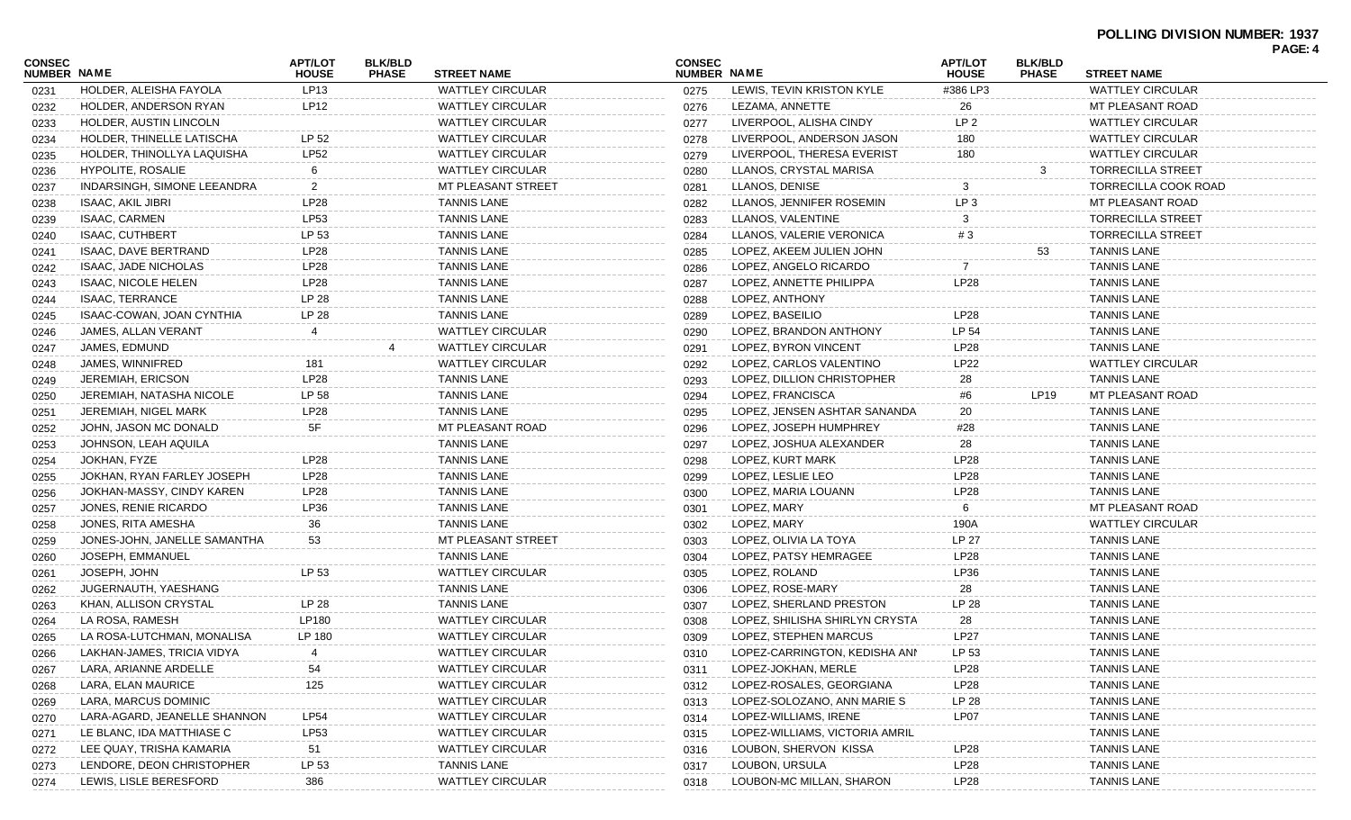| <b>CONSEC</b><br>NUMBER NAME |                              | <b>APT/LOT</b><br><b>HOUSE</b> | <b>BLK/BLD</b><br><b>PHASE</b> | <b>STREET NAME</b>      | <b>CONSEC</b><br>NUMBER NAME |                                | <b>APT/LOT</b><br><b>HOUSE</b> | <b>BLK/BLD</b><br><b>PHASE</b> | <b>STREET NAME</b>          | PAGE: 4 |
|------------------------------|------------------------------|--------------------------------|--------------------------------|-------------------------|------------------------------|--------------------------------|--------------------------------|--------------------------------|-----------------------------|---------|
| 0231                         | HOLDER, ALEISHA FAYOLA       | LP13                           |                                | <b>WATTLEY CIRCULAR</b> | 0275                         | LEWIS, TEVIN KRISTON KYLE      | #386 LP3                       |                                | <b>WATTLEY CIRCULAR</b>     |         |
| 0232                         | HOLDER, ANDERSON RYAN        | LP12                           |                                | <b>WATTLEY CIRCULAR</b> | 0276                         | LEZAMA, ANNETTE                | 26                             |                                | MT PLEASANT ROAD            |         |
| 0233                         | HOLDER, AUSTIN LINCOLN       |                                |                                | WATTLEY CIRCULAR        | 0277                         | LIVERPOOL, ALISHA CINDY        | LP <sub>2</sub>                |                                | <b>WATTLEY CIRCULAR</b>     |         |
| 0234                         | HOLDER. THINELLE LATISCHA    | LP 52                          |                                | WATTLEY CIRCULAR        | 0278                         | LIVERPOOL, ANDERSON JASON      | 180                            |                                | <b>WATTLEY CIRCULAR</b>     |         |
| 0235                         | HOLDER, THINOLLYA LAQUISHA   | <b>LP52</b>                    |                                | <b>WATTLEY CIRCULAR</b> | 0279                         | LIVERPOOL, THERESA EVERIST     | 180                            |                                | <b>WATTLEY CIRCULAR</b>     |         |
| 0236                         | <b>HYPOLITE, ROSALIE</b>     | 6                              |                                | <b>WATTLEY CIRCULAR</b> | 0280                         | LLANOS, CRYSTAL MARISA         |                                | 3                              | <b>TORRECILLA STREET</b>    |         |
| 0237                         | INDARSINGH, SIMONE LEEANDRA  | $\overline{2}$                 |                                | MT PLEASANT STREET      | 0281                         | LLANOS, DENISE                 | 3                              |                                | <b>TORRECILLA COOK ROAD</b> |         |
| 0238                         | <b>ISAAC, AKIL JIBRI</b>     | LP28                           |                                | <b>TANNIS LANE</b>      | 0282                         | LLANOS, JENNIFER ROSEMIN       | LP <sub>3</sub>                |                                | MT PLEASANT ROAD            |         |
| 0239                         | ISAAC, CARMEN                | LP53                           |                                | <b>TANNIS LANE</b>      | 0283                         | LLANOS, VALENTINE              |                                |                                | <b>TORRECILLA STREET</b>    |         |
| 0240                         | <b>ISAAC, CUTHBERT</b>       | LP 53                          |                                | <b>TANNIS LANE</b>      | 0284                         | LLANOS, VALERIE VERONICA       | #3                             |                                | <b>TORRECILLA STREET</b>    |         |
| 0241                         | ISAAC, DAVE BERTRAND         | LP28                           |                                | <b>TANNIS LANE</b>      | 0285                         | LOPEZ, AKEEM JULIEN JOHN       |                                | 53                             | <b>TANNIS LANE</b>          |         |
| 0242                         | ISAAC, JADE NICHOLAS         | LP28                           |                                | <b>TANNIS LANE</b>      | 0286                         | LOPEZ, ANGELO RICARDO          |                                |                                | <b>TANNIS LANE</b>          |         |
| 0243                         | <b>ISAAC, NICOLE HELEN</b>   | LP28                           |                                | <b>TANNIS LANE</b>      | 0287                         | LOPEZ, ANNETTE PHILIPPA        | <b>LP28</b>                    |                                | <b>TANNIS LANE</b>          |         |
| 0244                         | <b>ISAAC, TERRANCE</b>       | LP 28                          |                                | <b>TANNIS LANE</b>      | 0288                         | LOPEZ, ANTHONY                 |                                |                                | <b>TANNIS LANE</b>          |         |
| 0245                         | ISAAC-COWAN, JOAN CYNTHIA    | LP 28                          |                                | <b>TANNIS LANE</b>      | 0289                         | LOPEZ, BASEILIO                | <b>LP28</b>                    |                                | <b>TANNIS LANE</b>          |         |
| 0246                         | JAMES, ALLAN VERANT          |                                |                                | <b>WATTLEY CIRCULAR</b> | 0290                         | LOPEZ, BRANDON ANTHONY         | LP 54                          |                                | <b>TANNIS LANE</b>          |         |
|                              | JAMES, EDMUND                |                                |                                | <b>WATTLEY CIRCULAR</b> | 0291                         | LOPEZ, BYRON VINCENT           | <b>LP28</b>                    |                                | <b>TANNIS LANE</b>          |         |
| 0247                         | JAMES, WINNIFRED             | 181                            |                                | <b>WATTLEY CIRCULAR</b> | 0292                         | LOPEZ, CARLOS VALENTINO        | LP22                           |                                | <b>WATTLEY CIRCULAR</b>     |         |
| 0248                         | <b>JEREMIAH, ERICSON</b>     | <b>LP28</b>                    |                                | <b>TANNIS LANE</b>      | 0293                         | LOPEZ, DILLION CHRISTOPHER     | 28                             |                                | <b>TANNIS LANE</b>          |         |
| 0249                         | JEREMIAH, NATASHA NICOLE     | LP 58                          |                                | <b>TANNIS LANE</b>      |                              | LOPEZ, FRANCISCA               | #6                             | LP19                           | <b>MT PLEASANT ROAD</b>     |         |
| 0250                         | JEREMIAH, NIGEL MARK         | LP28                           |                                | <b>TANNIS LANE</b>      | 0294                         | LOPEZ, JENSEN ASHTAR SANANDA   |                                |                                | <b>TANNIS LANE</b>          |         |
| 0251                         | JOHN, JASON MC DONALD        | 5F                             |                                | MT PLEASANT ROAD        | 0295                         | LOPEZ. JOSEPH HUMPHREY         | 20<br>#28                      |                                | <b>TANNIS LANE</b>          |         |
| 0252                         |                              |                                |                                |                         | 0296                         |                                |                                |                                |                             |         |
| 0253                         | JOHNSON, LEAH AQUILA         |                                |                                | <b>TANNIS LANE</b>      | 0297                         | LOPEZ, JOSHUA ALEXANDER        | 28                             |                                | <b>TANNIS LANE</b>          |         |
| 0254                         | JOKHAN, FYZE                 | LP28                           |                                | <b>TANNIS LANE</b>      | 0298                         | LOPEZ, KURT MARK               | <b>LP28</b>                    |                                | <b>TANNIS LANE</b>          |         |
| 0255                         | JOKHAN, RYAN FARLEY JOSEPH   | <b>LP28</b>                    |                                | <b>TANNIS LANE</b>      | 0299                         | LOPEZ, LESLIE LEO              | <b>LP28</b>                    |                                | <b>TANNIS LANE</b>          |         |
| 0256                         | JOKHAN-MASSY, CINDY KAREN    | LP28                           |                                | <b>TANNIS LANE</b>      | 0300                         | LOPEZ, MARIA LOUANN            | <b>LP28</b>                    |                                | <b>TANNIS LANE</b>          |         |
| 0257                         | JONES, RENIE RICARDO         | LP36                           |                                | <b>TANNIS LANE</b>      | 0301                         | LOPEZ, MARY                    | 6                              |                                | MT PLEASANT ROAD            |         |
| 0258                         | JONES, RITA AMESHA           | 36                             |                                | <b>TANNIS LANE</b>      | 0302                         | LOPEZ, MARY                    | 190A                           |                                | <b>WATTLEY CIRCULAR</b>     |         |
| 0259                         | JONES-JOHN, JANELLE SAMANTHA | 53                             |                                | MT PLEASANT STREET      | 0303                         | LOPEZ, OLIVIA LA TOYA          | LP 27                          |                                | <b>TANNIS LANE</b>          |         |
| 0260                         | JOSEPH, EMMANUEL             |                                |                                | <b>TANNIS LANE</b>      | 0304                         | LOPEZ, PATSY HEMRAGEE          | <b>LP28</b>                    |                                | <b>TANNIS LANE</b>          |         |
| 0261                         | JOSEPH, JOHN                 | LP 53                          |                                | <b>WATTLEY CIRCULAR</b> | 0305                         | LOPEZ, ROLAND                  | LP36                           |                                | <b>TANNIS LANE</b>          |         |
| 0262                         | JUGERNAUTH, YAESHANG         |                                |                                | <b>TANNIS LANE</b>      | 0306                         | LOPEZ, ROSE-MARY               | 28                             |                                | <b>TANNIS LANE</b>          |         |
| 0263                         | KHAN, ALLISON CRYSTAL        | LP 28                          |                                | <b>TANNIS LANE</b>      | 0307                         | LOPEZ, SHERLAND PRESTON        | LP 28                          |                                | <b>TANNIS LANE</b>          |         |
| 0264                         | LA ROSA, RAMESH              | LP180                          |                                | <b>WATTLEY CIRCULAR</b> | 0308                         | LOPEZ, SHILISHA SHIRLYN CRYSTA | 28                             |                                | <b>TANNIS LANE</b>          |         |
| 0265                         | LA ROSA-LUTCHMAN, MONALISA   | LP 180                         |                                | <b>WATTLEY CIRCULAR</b> | 0309                         | LOPEZ, STEPHEN MARCUS          | <b>LP27</b>                    |                                | <b>TANNIS LANE</b>          |         |
| 0266                         | LAKHAN-JAMES, TRICIA VIDYA   | 4                              |                                | <b>WATTLEY CIRCULAR</b> | 0310                         | LOPEZ-CARRINGTON, KEDISHA ANN  | LP 53                          |                                | <b>TANNIS LANE</b>          |         |
| 0267                         | LARA, ARIANNE ARDELLE        | 54                             |                                | <b>WATTLEY CIRCULAR</b> | 0311                         | LOPEZ-JOKHAN, MERLE            | <b>LP28</b>                    |                                | <b>TANNIS LANE</b>          |         |
| 0268                         | LARA, ELAN MAURICE           | $125$                          |                                | <b>WATTLEY CIRCULAR</b> | 0312                         | LOPEZ-ROSALES, GEORGIANA       | <b>LP28</b>                    |                                | <b>TANNIS LANE</b>          |         |
| 0269                         | LARA, MARCUS DOMINIC         |                                |                                | <b>WATTLEY CIRCULAR</b> | 0313                         | LOPEZ-SOLOZANO, ANN MARIE S    | LP 28                          |                                | <b>TANNIS LANE</b>          |         |
| 0270                         | LARA-AGARD, JEANELLE SHANNON | <b>LP54</b>                    |                                | <b>WATTLEY CIRCULAR</b> | 0314                         | LOPEZ-WILLIAMS, IRENE          | LP07                           |                                | <b>TANNIS LANE</b>          |         |
| 0271                         | LE BLANC, IDA MATTHIASE C    | LP53                           |                                | <b>WATTLEY CIRCULAR</b> | 0315                         | LOPEZ-WILLIAMS, VICTORIA AMRIL |                                |                                | <b>TANNIS LANE</b>          |         |
| 0272                         | LEE QUAY, TRISHA KAMARIA     | 51                             |                                | WATTLEY CIRCULAR        | 0316                         | LOUBON, SHERVON KISSA          | <b>LP28</b>                    |                                | <b>TANNIS LANE</b>          |         |
| 0273                         | LENDORE, DEON CHRISTOPHER    | LP 53                          |                                | <b>TANNIS LANE</b>      | 0317                         | LOUBON, URSULA                 | <b>LP28</b>                    |                                | <b>TANNIS LANE</b>          |         |
| 0274                         | LEWIS, LISLE BERESFORD       | 386                            |                                | <b>WATTLEY CIRCULAR</b> | 0318                         | LOUBON-MC MILLAN, SHARON       | LP28                           |                                | <b>TANNIS LANE</b>          |         |
|                              |                              |                                |                                |                         |                              |                                |                                |                                |                             |         |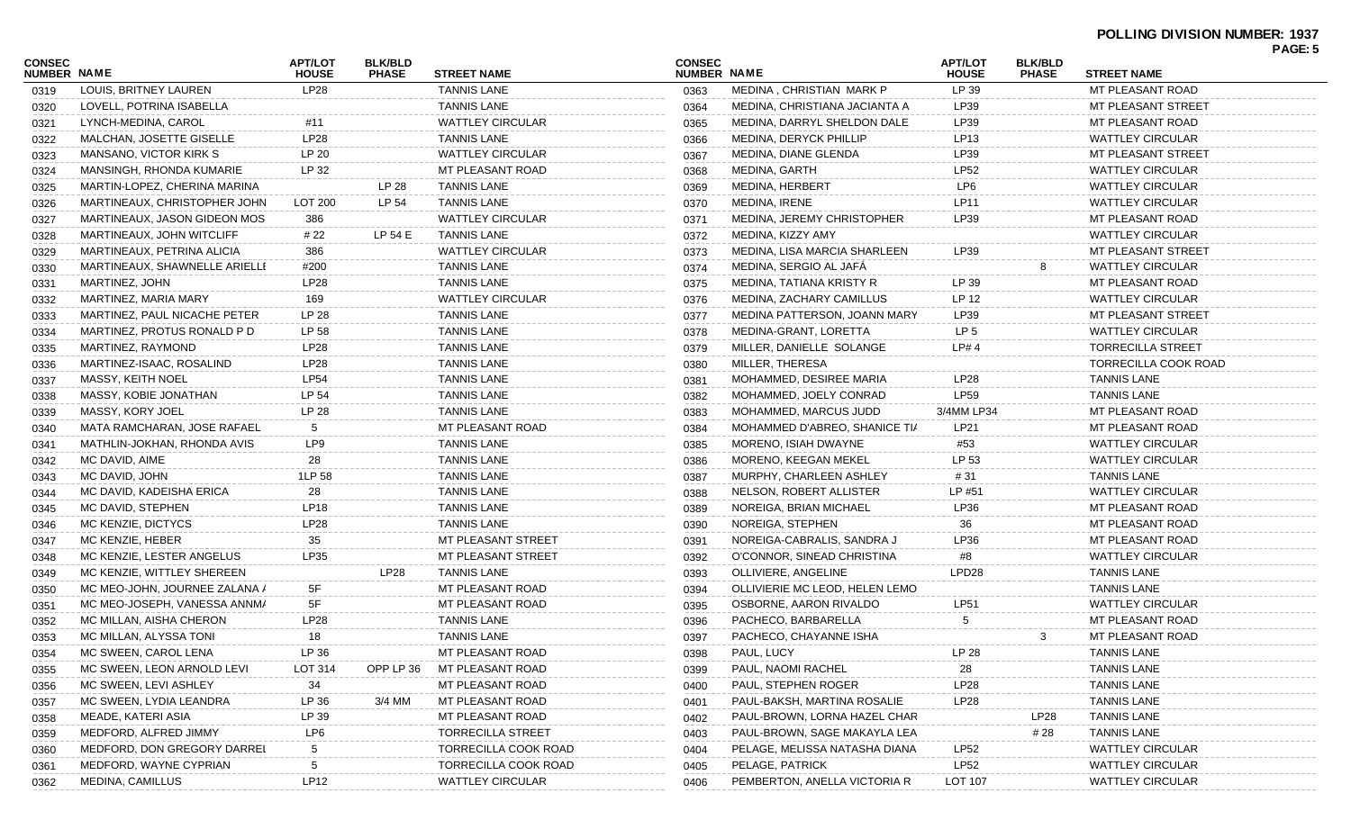| NUMBER NAME<br>NUMBER NAME<br><b>PHASE</b><br><b>STREET NAME</b><br><b>STREET NAME</b><br><b>HOUSE</b><br><b>PHASE</b><br><b>HOUSE</b><br>LP 39<br>LOUIS, BRITNEY LAUREN<br>LP28<br><b>TANNIS LANE</b><br>MEDINA, CHRISTIAN MARK P<br>MT PLEASANT ROAD<br>0363<br>0319<br><b>TANNIS LANE</b><br>LOVELL, POTRINA ISABELLA<br>MEDINA, CHRISTIANA JACIANTA A<br>LP39<br>MT PLEASANT STREET<br>0364<br>0320<br><b>WATTLEY CIRCULAR</b><br>LP39<br>LYNCH-MEDINA, CAROL<br>MEDINA, DARRYL SHELDON DALE<br>MT PLEASANT ROAD<br>#11<br>0365<br>0321<br><b>LP28</b><br><b>TANNIS LANE</b><br>LP13<br>MALCHAN, JOSETTE GISELLE<br>MEDINA, DERYCK PHILLIP<br><b>WATTLEY CIRCULAR</b><br>0366<br>0322<br>LP 20<br><b>WATTLEY CIRCULAR</b><br>LP39<br>MANSANO, VICTOR KIRK S<br>MEDINA, DIANE GLENDA<br>MT PLEASANT STREET<br>0367<br>0323<br>LP 32<br>MEDINA, GARTH<br><b>LP52</b><br>MANSINGH, RHONDA KUMARIE<br>MT PLEASANT ROAD<br><b>WATTLEY CIRCULAR</b><br>0368<br>0324<br>LP 28<br><b>MEDINA, HERBERT</b><br>LP6<br>MARTIN-LOPEZ, CHERINA MARINA<br><b>TANNIS LANE</b><br><b>WATTLEY CIRCULAR</b><br>0369<br>0325<br>LP 54<br><b>TANNIS LANE</b><br>MEDINA, IRENE<br>LP11<br>MARTINEAUX, CHRISTOPHER JOHN<br>LOT 200<br><b>WATTLEY CIRCULAR</b><br>0370<br>0326<br><b>WATTLEY CIRCULAR</b><br>MEDINA, JEREMY CHRISTOPHER<br>LP39<br>MT PLEASANT ROAD<br>MARTINEAUX, JASON GIDEON MOS<br>386<br>0371<br>0327<br>LP 54 E<br><b>TANNIS LANE</b><br>MARTINEAUX, JOHN WITCLIFF<br># 22<br>MEDINA, KIZZY AMY<br><b>WATTLEY CIRCULAR</b><br>0372<br>0328<br><b>WATTLEY CIRCULAR</b><br>MEDINA, LISA MARCIA SHARLEEN<br>LP39<br>MARTINEAUX, PETRINA ALICIA<br>386<br>MT PLEASANT STREET<br>0373<br>0329<br><b>TANNIS LANE</b><br>MEDINA, SERGIO AL JAFA<br>MARTINEAUX, SHAWNELLE ARIELLE<br>#200<br><b>WATTLEY CIRCULAR</b><br>0374<br>8<br>0330<br><b>LP28</b><br><b>TANNIS LANE</b><br>LP 39<br>MT PLEASANT ROAD<br>MARTINEZ, JOHN<br>MEDINA, TATIANA KRISTY R<br>0375<br>0331<br><b>WATTLEY CIRCULAR</b><br>LP 12<br>MARTINEZ, MARIA MARY<br>169<br>MEDINA, ZACHARY CAMILLUS<br><b>WATTLEY CIRCULAR</b><br>0376<br>0332<br><b>TANNIS LANE</b><br>MARTINEZ, PAUL NICACHE PETER<br>LP 28<br>MEDINA PATTERSON, JOANN MARY<br>LP39<br>MT PLEASANT STREET<br>0377<br>0333<br>LP 58<br><b>TANNIS LANE</b><br>LP <sub>5</sub><br>MARTINEZ, PROTUS RONALD P D<br>MEDINA-GRANT, LORETTA<br><b>WATTLEY CIRCULAR</b><br>0378<br>0334<br><b>LP28</b><br><b>TANNIS LANE</b><br>LP#4<br><b>TORRECILLA STREET</b><br>MARTINEZ, RAYMOND<br>MILLER, DANIELLE SOLANGE<br>0379<br>0335<br>LP28<br><b>TANNIS LANE</b><br>MILLER, THERESA<br>MARTINEZ-ISAAC, ROSALIND<br>TORRECILLA COOK ROAD<br>0380<br>0336<br><b>LP54</b><br><b>TANNIS LANE</b><br>MOHAMMED, DESIREE MARIA<br>LP28<br><b>TANNIS LANE</b><br>MASSY, KEITH NOEL<br>0381<br>0337<br><b>LP59</b><br>LP 54<br><b>TANNIS LANE</b><br>MOHAMMED, JOELY CONRAD<br><b>TANNIS LANE</b><br>MASSY, KOBIE JONATHAN<br>0382<br>0338<br>LP 28<br><b>TANNIS LANE</b><br>3/4MM LP34<br>MT PLEASANT ROAD<br>MASSY, KORY JOEL<br>MOHAMMED, MARCUS JUDD<br>0383<br>0339<br>5<br>MT PLEASANT ROAD<br>LP21<br>MATA RAMCHARAN, JOSE RAFAEL<br>MOHAMMED D'ABREO, SHANICE TIA<br>MT PLEASANT ROAD<br>0384<br>0340<br>LP9<br><b>TANNIS LANE</b><br>MATHLIN-JOKHAN, RHONDA AVIS<br>MORENO, ISIAH DWAYNE<br>#53<br><b>WATTLEY CIRCULAR</b><br>0385<br>0341<br>28<br><b>TANNIS LANE</b><br>LP 53<br>MC DAVID, AIME<br>MORENO, KEEGAN MEKEL<br><b>WATTLEY CIRCULAR</b><br>0386<br>0342<br>1LP 58<br><b>TANNIS LANE</b><br>MC DAVID, JOHN<br>MURPHY, CHARLEEN ASHLEY<br># 31<br><b>TANNIS LANE</b><br>0387<br>0343<br><b>TANNIS LANE</b><br>MC DAVID, KADEISHA ERICA<br>28<br>NELSON, ROBERT ALLISTER<br>LP #51<br><b>WATTLEY CIRCULAR</b><br>0388<br>0344<br><b>TANNIS LANE</b><br>NOREIGA, BRIAN MICHAEL<br>LP36<br>MT PLEASANT ROAD<br>MC DAVID, STEPHEN<br>LP <sub>18</sub><br>0389<br>0345<br><b>LP28</b><br><b>TANNIS LANE</b><br>NOREIGA, STEPHEN<br>36<br>MC KENZIE, DICTYCS<br>MT PLEASANT ROAD<br>0390<br>0346<br>35<br>LP36<br>MC KENZIE, HEBER<br>MT PLEASANT STREET<br>NOREIGA-CABRALIS, SANDRA J<br>MT PLEASANT ROAD<br>0391<br>0347<br>LP35<br>O'CONNOR, SINEAD CHRISTINA<br>MC KENZIE, LESTER ANGELUS<br>MT PLEASANT STREET<br><b>WATTLEY CIRCULAR</b><br>0392<br>#8<br>0348<br>LP28<br><b>TANNIS LANE</b><br>LPD <sub>28</sub><br><b>TANNIS LANE</b><br>MC KENZIE, WITTLEY SHEREEN<br>OLLIVIERE, ANGELINE<br>0393<br>0349<br>5F<br>MT PLEASANT ROAD<br>OLLIVIERIE MC LEOD, HELEN LEMO<br><b>TANNIS LANE</b><br>MC MEO-JOHN, JOURNEE ZALANA /<br>0394<br>0350<br>5F<br>MC MEO-JOSEPH, VANESSA ANNMA<br>MT PLEASANT ROAD<br>OSBORNE, AARON RIVALDO<br>LP51<br><b>WATTLEY CIRCULAR</b><br>0395<br>0351<br><b>LP28</b><br><b>TANNIS LANE</b><br>MT PLEASANT ROAD<br>MC MILLAN, AISHA CHERON<br>PACHECO, BARBARELLA<br>0396<br>5<br>0352<br>MC MILLAN, ALYSSA TONI<br>18<br><b>TANNIS LANE</b><br>PACHECO, CHAYANNE ISHA<br>MT PLEASANT ROAD<br>3<br>0353<br>0397<br>LP 36<br>PAUL, LUCY<br>LP 28<br>MC SWEEN, CAROL LENA<br>MT PLEASANT ROAD<br><b>TANNIS LANE</b><br>0398<br>0354<br>OPP LP 36<br>MT PLEASANT ROAD<br>PAUL, NAOMI RACHEL<br><b>TANNIS LANE</b><br>MC SWEEN, LEON ARNOLD LEVI<br>LOT 314<br>28<br>0399<br>0355<br><b>LP28</b><br>PAUL, STEPHEN ROGER<br><b>TANNIS LANE</b><br>MC SWEEN, LEVI ASHLEY<br>34<br>MT PLEASANT ROAD<br>0400<br>0356<br>LP 36<br>PAUL-BAKSH, MARTINA ROSALIE<br>LP28<br><b>TANNIS LANE</b><br>MC SWEEN, LYDIA LEANDRA<br>3/4 MM<br>MT PLEASANT ROAD<br>0401<br>0357<br>LP 39<br><b>TANNIS LANE</b><br>MEADE, KATERI ASIA<br>MT PLEASANT ROAD<br>PAUL-BROWN, LORNA HAZEL CHAR<br>LP <sub>28</sub><br>0402<br>0358<br>MEDFORD, ALFRED JIMMY<br># 28<br><b>TANNIS LANE</b><br>LP6<br>TORRECILLA STREET<br>PAUL-BROWN, SAGE MAKAYLA LEA<br>0403<br>0359<br><b>LP52</b><br><b>WATTLEY CIRCULAR</b><br>MEDFORD, DON GREGORY DARREL<br>5<br>TORRECILLA COOK ROAD<br>PELAGE, MELISSA NATASHA DIANA<br>0404<br>0360<br>PELAGE, PATRICK<br><b>LP52</b><br>MEDFORD, WAYNE CYPRIAN<br>-5<br>TORRECILLA COOK ROAD<br><b>WATTLEY CIRCULAR</b><br>0405<br>0361 |               |                  |                |                |                         |               |                              |                |                |                         | PAGE: 5 |
|-----------------------------------------------------------------------------------------------------------------------------------------------------------------------------------------------------------------------------------------------------------------------------------------------------------------------------------------------------------------------------------------------------------------------------------------------------------------------------------------------------------------------------------------------------------------------------------------------------------------------------------------------------------------------------------------------------------------------------------------------------------------------------------------------------------------------------------------------------------------------------------------------------------------------------------------------------------------------------------------------------------------------------------------------------------------------------------------------------------------------------------------------------------------------------------------------------------------------------------------------------------------------------------------------------------------------------------------------------------------------------------------------------------------------------------------------------------------------------------------------------------------------------------------------------------------------------------------------------------------------------------------------------------------------------------------------------------------------------------------------------------------------------------------------------------------------------------------------------------------------------------------------------------------------------------------------------------------------------------------------------------------------------------------------------------------------------------------------------------------------------------------------------------------------------------------------------------------------------------------------------------------------------------------------------------------------------------------------------------------------------------------------------------------------------------------------------------------------------------------------------------------------------------------------------------------------------------------------------------------------------------------------------------------------------------------------------------------------------------------------------------------------------------------------------------------------------------------------------------------------------------------------------------------------------------------------------------------------------------------------------------------------------------------------------------------------------------------------------------------------------------------------------------------------------------------------------------------------------------------------------------------------------------------------------------------------------------------------------------------------------------------------------------------------------------------------------------------------------------------------------------------------------------------------------------------------------------------------------------------------------------------------------------------------------------------------------------------------------------------------------------------------------------------------------------------------------------------------------------------------------------------------------------------------------------------------------------------------------------------------------------------------------------------------------------------------------------------------------------------------------------------------------------------------------------------------------------------------------------------------------------------------------------------------------------------------------------------------------------------------------------------------------------------------------------------------------------------------------------------------------------------------------------------------------------------------------------------------------------------------------------------------------------------------------------------------------------------------------------------------------------------------------------------------------------------------------------------------------------------------------------------------------------------------------------------------------------------------------------------------------------------------------------------------------------------------------------------------------------------------------------------------------------------------------------------------------------------------------------------------------------------------------------------------------------------------------------------------------------------------------------------------------------------------------------------------------------------------------------------------------------------------------------------------------------------------------------------------------------------------------------------------------------------------------------------------------------------------------------------------------------------------------------------------------------------------------------------------------------------------------------------------------------------------------------------------------------------------------------------------------------------------------------------------------------------------------------------------------------|---------------|------------------|----------------|----------------|-------------------------|---------------|------------------------------|----------------|----------------|-------------------------|---------|
|                                                                                                                                                                                                                                                                                                                                                                                                                                                                                                                                                                                                                                                                                                                                                                                                                                                                                                                                                                                                                                                                                                                                                                                                                                                                                                                                                                                                                                                                                                                                                                                                                                                                                                                                                                                                                                                                                                                                                                                                                                                                                                                                                                                                                                                                                                                                                                                                                                                                                                                                                                                                                                                                                                                                                                                                                                                                                                                                                                                                                                                                                                                                                                                                                                                                                                                                                                                                                                                                                                                                                                                                                                                                                                                                                                                                                                                                                                                                                                                                                                                                                                                                                                                                                                                                                                                                                                                                                                                                                                                                                                                                                                                                                                                                                                                                                                                                                                                                                                                                                                                                                                                                                                                                                                                                                                                                                                                                                                                                                                                                                                                                                                                                                                                                                                                                                                                                                                                                                                                                                                                                                                           | <b>CONSEC</b> |                  | <b>APT/LOT</b> | <b>BLK/BLD</b> |                         | <b>CONSEC</b> |                              | <b>APT/LOT</b> | <b>BLK/BLD</b> |                         |         |
|                                                                                                                                                                                                                                                                                                                                                                                                                                                                                                                                                                                                                                                                                                                                                                                                                                                                                                                                                                                                                                                                                                                                                                                                                                                                                                                                                                                                                                                                                                                                                                                                                                                                                                                                                                                                                                                                                                                                                                                                                                                                                                                                                                                                                                                                                                                                                                                                                                                                                                                                                                                                                                                                                                                                                                                                                                                                                                                                                                                                                                                                                                                                                                                                                                                                                                                                                                                                                                                                                                                                                                                                                                                                                                                                                                                                                                                                                                                                                                                                                                                                                                                                                                                                                                                                                                                                                                                                                                                                                                                                                                                                                                                                                                                                                                                                                                                                                                                                                                                                                                                                                                                                                                                                                                                                                                                                                                                                                                                                                                                                                                                                                                                                                                                                                                                                                                                                                                                                                                                                                                                                                                           |               |                  |                |                |                         |               |                              |                |                |                         |         |
|                                                                                                                                                                                                                                                                                                                                                                                                                                                                                                                                                                                                                                                                                                                                                                                                                                                                                                                                                                                                                                                                                                                                                                                                                                                                                                                                                                                                                                                                                                                                                                                                                                                                                                                                                                                                                                                                                                                                                                                                                                                                                                                                                                                                                                                                                                                                                                                                                                                                                                                                                                                                                                                                                                                                                                                                                                                                                                                                                                                                                                                                                                                                                                                                                                                                                                                                                                                                                                                                                                                                                                                                                                                                                                                                                                                                                                                                                                                                                                                                                                                                                                                                                                                                                                                                                                                                                                                                                                                                                                                                                                                                                                                                                                                                                                                                                                                                                                                                                                                                                                                                                                                                                                                                                                                                                                                                                                                                                                                                                                                                                                                                                                                                                                                                                                                                                                                                                                                                                                                                                                                                                                           |               |                  |                |                |                         |               |                              |                |                |                         |         |
|                                                                                                                                                                                                                                                                                                                                                                                                                                                                                                                                                                                                                                                                                                                                                                                                                                                                                                                                                                                                                                                                                                                                                                                                                                                                                                                                                                                                                                                                                                                                                                                                                                                                                                                                                                                                                                                                                                                                                                                                                                                                                                                                                                                                                                                                                                                                                                                                                                                                                                                                                                                                                                                                                                                                                                                                                                                                                                                                                                                                                                                                                                                                                                                                                                                                                                                                                                                                                                                                                                                                                                                                                                                                                                                                                                                                                                                                                                                                                                                                                                                                                                                                                                                                                                                                                                                                                                                                                                                                                                                                                                                                                                                                                                                                                                                                                                                                                                                                                                                                                                                                                                                                                                                                                                                                                                                                                                                                                                                                                                                                                                                                                                                                                                                                                                                                                                                                                                                                                                                                                                                                                                           |               |                  |                |                |                         |               |                              |                |                |                         |         |
|                                                                                                                                                                                                                                                                                                                                                                                                                                                                                                                                                                                                                                                                                                                                                                                                                                                                                                                                                                                                                                                                                                                                                                                                                                                                                                                                                                                                                                                                                                                                                                                                                                                                                                                                                                                                                                                                                                                                                                                                                                                                                                                                                                                                                                                                                                                                                                                                                                                                                                                                                                                                                                                                                                                                                                                                                                                                                                                                                                                                                                                                                                                                                                                                                                                                                                                                                                                                                                                                                                                                                                                                                                                                                                                                                                                                                                                                                                                                                                                                                                                                                                                                                                                                                                                                                                                                                                                                                                                                                                                                                                                                                                                                                                                                                                                                                                                                                                                                                                                                                                                                                                                                                                                                                                                                                                                                                                                                                                                                                                                                                                                                                                                                                                                                                                                                                                                                                                                                                                                                                                                                                                           |               |                  |                |                |                         |               |                              |                |                |                         |         |
|                                                                                                                                                                                                                                                                                                                                                                                                                                                                                                                                                                                                                                                                                                                                                                                                                                                                                                                                                                                                                                                                                                                                                                                                                                                                                                                                                                                                                                                                                                                                                                                                                                                                                                                                                                                                                                                                                                                                                                                                                                                                                                                                                                                                                                                                                                                                                                                                                                                                                                                                                                                                                                                                                                                                                                                                                                                                                                                                                                                                                                                                                                                                                                                                                                                                                                                                                                                                                                                                                                                                                                                                                                                                                                                                                                                                                                                                                                                                                                                                                                                                                                                                                                                                                                                                                                                                                                                                                                                                                                                                                                                                                                                                                                                                                                                                                                                                                                                                                                                                                                                                                                                                                                                                                                                                                                                                                                                                                                                                                                                                                                                                                                                                                                                                                                                                                                                                                                                                                                                                                                                                                                           |               |                  |                |                |                         |               |                              |                |                |                         |         |
|                                                                                                                                                                                                                                                                                                                                                                                                                                                                                                                                                                                                                                                                                                                                                                                                                                                                                                                                                                                                                                                                                                                                                                                                                                                                                                                                                                                                                                                                                                                                                                                                                                                                                                                                                                                                                                                                                                                                                                                                                                                                                                                                                                                                                                                                                                                                                                                                                                                                                                                                                                                                                                                                                                                                                                                                                                                                                                                                                                                                                                                                                                                                                                                                                                                                                                                                                                                                                                                                                                                                                                                                                                                                                                                                                                                                                                                                                                                                                                                                                                                                                                                                                                                                                                                                                                                                                                                                                                                                                                                                                                                                                                                                                                                                                                                                                                                                                                                                                                                                                                                                                                                                                                                                                                                                                                                                                                                                                                                                                                                                                                                                                                                                                                                                                                                                                                                                                                                                                                                                                                                                                                           |               |                  |                |                |                         |               |                              |                |                |                         |         |
|                                                                                                                                                                                                                                                                                                                                                                                                                                                                                                                                                                                                                                                                                                                                                                                                                                                                                                                                                                                                                                                                                                                                                                                                                                                                                                                                                                                                                                                                                                                                                                                                                                                                                                                                                                                                                                                                                                                                                                                                                                                                                                                                                                                                                                                                                                                                                                                                                                                                                                                                                                                                                                                                                                                                                                                                                                                                                                                                                                                                                                                                                                                                                                                                                                                                                                                                                                                                                                                                                                                                                                                                                                                                                                                                                                                                                                                                                                                                                                                                                                                                                                                                                                                                                                                                                                                                                                                                                                                                                                                                                                                                                                                                                                                                                                                                                                                                                                                                                                                                                                                                                                                                                                                                                                                                                                                                                                                                                                                                                                                                                                                                                                                                                                                                                                                                                                                                                                                                                                                                                                                                                                           |               |                  |                |                |                         |               |                              |                |                |                         |         |
|                                                                                                                                                                                                                                                                                                                                                                                                                                                                                                                                                                                                                                                                                                                                                                                                                                                                                                                                                                                                                                                                                                                                                                                                                                                                                                                                                                                                                                                                                                                                                                                                                                                                                                                                                                                                                                                                                                                                                                                                                                                                                                                                                                                                                                                                                                                                                                                                                                                                                                                                                                                                                                                                                                                                                                                                                                                                                                                                                                                                                                                                                                                                                                                                                                                                                                                                                                                                                                                                                                                                                                                                                                                                                                                                                                                                                                                                                                                                                                                                                                                                                                                                                                                                                                                                                                                                                                                                                                                                                                                                                                                                                                                                                                                                                                                                                                                                                                                                                                                                                                                                                                                                                                                                                                                                                                                                                                                                                                                                                                                                                                                                                                                                                                                                                                                                                                                                                                                                                                                                                                                                                                           |               |                  |                |                |                         |               |                              |                |                |                         |         |
|                                                                                                                                                                                                                                                                                                                                                                                                                                                                                                                                                                                                                                                                                                                                                                                                                                                                                                                                                                                                                                                                                                                                                                                                                                                                                                                                                                                                                                                                                                                                                                                                                                                                                                                                                                                                                                                                                                                                                                                                                                                                                                                                                                                                                                                                                                                                                                                                                                                                                                                                                                                                                                                                                                                                                                                                                                                                                                                                                                                                                                                                                                                                                                                                                                                                                                                                                                                                                                                                                                                                                                                                                                                                                                                                                                                                                                                                                                                                                                                                                                                                                                                                                                                                                                                                                                                                                                                                                                                                                                                                                                                                                                                                                                                                                                                                                                                                                                                                                                                                                                                                                                                                                                                                                                                                                                                                                                                                                                                                                                                                                                                                                                                                                                                                                                                                                                                                                                                                                                                                                                                                                                           |               |                  |                |                |                         |               |                              |                |                |                         |         |
|                                                                                                                                                                                                                                                                                                                                                                                                                                                                                                                                                                                                                                                                                                                                                                                                                                                                                                                                                                                                                                                                                                                                                                                                                                                                                                                                                                                                                                                                                                                                                                                                                                                                                                                                                                                                                                                                                                                                                                                                                                                                                                                                                                                                                                                                                                                                                                                                                                                                                                                                                                                                                                                                                                                                                                                                                                                                                                                                                                                                                                                                                                                                                                                                                                                                                                                                                                                                                                                                                                                                                                                                                                                                                                                                                                                                                                                                                                                                                                                                                                                                                                                                                                                                                                                                                                                                                                                                                                                                                                                                                                                                                                                                                                                                                                                                                                                                                                                                                                                                                                                                                                                                                                                                                                                                                                                                                                                                                                                                                                                                                                                                                                                                                                                                                                                                                                                                                                                                                                                                                                                                                                           |               |                  |                |                |                         |               |                              |                |                |                         |         |
|                                                                                                                                                                                                                                                                                                                                                                                                                                                                                                                                                                                                                                                                                                                                                                                                                                                                                                                                                                                                                                                                                                                                                                                                                                                                                                                                                                                                                                                                                                                                                                                                                                                                                                                                                                                                                                                                                                                                                                                                                                                                                                                                                                                                                                                                                                                                                                                                                                                                                                                                                                                                                                                                                                                                                                                                                                                                                                                                                                                                                                                                                                                                                                                                                                                                                                                                                                                                                                                                                                                                                                                                                                                                                                                                                                                                                                                                                                                                                                                                                                                                                                                                                                                                                                                                                                                                                                                                                                                                                                                                                                                                                                                                                                                                                                                                                                                                                                                                                                                                                                                                                                                                                                                                                                                                                                                                                                                                                                                                                                                                                                                                                                                                                                                                                                                                                                                                                                                                                                                                                                                                                                           |               |                  |                |                |                         |               |                              |                |                |                         |         |
|                                                                                                                                                                                                                                                                                                                                                                                                                                                                                                                                                                                                                                                                                                                                                                                                                                                                                                                                                                                                                                                                                                                                                                                                                                                                                                                                                                                                                                                                                                                                                                                                                                                                                                                                                                                                                                                                                                                                                                                                                                                                                                                                                                                                                                                                                                                                                                                                                                                                                                                                                                                                                                                                                                                                                                                                                                                                                                                                                                                                                                                                                                                                                                                                                                                                                                                                                                                                                                                                                                                                                                                                                                                                                                                                                                                                                                                                                                                                                                                                                                                                                                                                                                                                                                                                                                                                                                                                                                                                                                                                                                                                                                                                                                                                                                                                                                                                                                                                                                                                                                                                                                                                                                                                                                                                                                                                                                                                                                                                                                                                                                                                                                                                                                                                                                                                                                                                                                                                                                                                                                                                                                           |               |                  |                |                |                         |               |                              |                |                |                         |         |
|                                                                                                                                                                                                                                                                                                                                                                                                                                                                                                                                                                                                                                                                                                                                                                                                                                                                                                                                                                                                                                                                                                                                                                                                                                                                                                                                                                                                                                                                                                                                                                                                                                                                                                                                                                                                                                                                                                                                                                                                                                                                                                                                                                                                                                                                                                                                                                                                                                                                                                                                                                                                                                                                                                                                                                                                                                                                                                                                                                                                                                                                                                                                                                                                                                                                                                                                                                                                                                                                                                                                                                                                                                                                                                                                                                                                                                                                                                                                                                                                                                                                                                                                                                                                                                                                                                                                                                                                                                                                                                                                                                                                                                                                                                                                                                                                                                                                                                                                                                                                                                                                                                                                                                                                                                                                                                                                                                                                                                                                                                                                                                                                                                                                                                                                                                                                                                                                                                                                                                                                                                                                                                           |               |                  |                |                |                         |               |                              |                |                |                         |         |
|                                                                                                                                                                                                                                                                                                                                                                                                                                                                                                                                                                                                                                                                                                                                                                                                                                                                                                                                                                                                                                                                                                                                                                                                                                                                                                                                                                                                                                                                                                                                                                                                                                                                                                                                                                                                                                                                                                                                                                                                                                                                                                                                                                                                                                                                                                                                                                                                                                                                                                                                                                                                                                                                                                                                                                                                                                                                                                                                                                                                                                                                                                                                                                                                                                                                                                                                                                                                                                                                                                                                                                                                                                                                                                                                                                                                                                                                                                                                                                                                                                                                                                                                                                                                                                                                                                                                                                                                                                                                                                                                                                                                                                                                                                                                                                                                                                                                                                                                                                                                                                                                                                                                                                                                                                                                                                                                                                                                                                                                                                                                                                                                                                                                                                                                                                                                                                                                                                                                                                                                                                                                                                           |               |                  |                |                |                         |               |                              |                |                |                         |         |
|                                                                                                                                                                                                                                                                                                                                                                                                                                                                                                                                                                                                                                                                                                                                                                                                                                                                                                                                                                                                                                                                                                                                                                                                                                                                                                                                                                                                                                                                                                                                                                                                                                                                                                                                                                                                                                                                                                                                                                                                                                                                                                                                                                                                                                                                                                                                                                                                                                                                                                                                                                                                                                                                                                                                                                                                                                                                                                                                                                                                                                                                                                                                                                                                                                                                                                                                                                                                                                                                                                                                                                                                                                                                                                                                                                                                                                                                                                                                                                                                                                                                                                                                                                                                                                                                                                                                                                                                                                                                                                                                                                                                                                                                                                                                                                                                                                                                                                                                                                                                                                                                                                                                                                                                                                                                                                                                                                                                                                                                                                                                                                                                                                                                                                                                                                                                                                                                                                                                                                                                                                                                                                           |               |                  |                |                |                         |               |                              |                |                |                         |         |
|                                                                                                                                                                                                                                                                                                                                                                                                                                                                                                                                                                                                                                                                                                                                                                                                                                                                                                                                                                                                                                                                                                                                                                                                                                                                                                                                                                                                                                                                                                                                                                                                                                                                                                                                                                                                                                                                                                                                                                                                                                                                                                                                                                                                                                                                                                                                                                                                                                                                                                                                                                                                                                                                                                                                                                                                                                                                                                                                                                                                                                                                                                                                                                                                                                                                                                                                                                                                                                                                                                                                                                                                                                                                                                                                                                                                                                                                                                                                                                                                                                                                                                                                                                                                                                                                                                                                                                                                                                                                                                                                                                                                                                                                                                                                                                                                                                                                                                                                                                                                                                                                                                                                                                                                                                                                                                                                                                                                                                                                                                                                                                                                                                                                                                                                                                                                                                                                                                                                                                                                                                                                                                           |               |                  |                |                |                         |               |                              |                |                |                         |         |
|                                                                                                                                                                                                                                                                                                                                                                                                                                                                                                                                                                                                                                                                                                                                                                                                                                                                                                                                                                                                                                                                                                                                                                                                                                                                                                                                                                                                                                                                                                                                                                                                                                                                                                                                                                                                                                                                                                                                                                                                                                                                                                                                                                                                                                                                                                                                                                                                                                                                                                                                                                                                                                                                                                                                                                                                                                                                                                                                                                                                                                                                                                                                                                                                                                                                                                                                                                                                                                                                                                                                                                                                                                                                                                                                                                                                                                                                                                                                                                                                                                                                                                                                                                                                                                                                                                                                                                                                                                                                                                                                                                                                                                                                                                                                                                                                                                                                                                                                                                                                                                                                                                                                                                                                                                                                                                                                                                                                                                                                                                                                                                                                                                                                                                                                                                                                                                                                                                                                                                                                                                                                                                           |               |                  |                |                |                         |               |                              |                |                |                         |         |
|                                                                                                                                                                                                                                                                                                                                                                                                                                                                                                                                                                                                                                                                                                                                                                                                                                                                                                                                                                                                                                                                                                                                                                                                                                                                                                                                                                                                                                                                                                                                                                                                                                                                                                                                                                                                                                                                                                                                                                                                                                                                                                                                                                                                                                                                                                                                                                                                                                                                                                                                                                                                                                                                                                                                                                                                                                                                                                                                                                                                                                                                                                                                                                                                                                                                                                                                                                                                                                                                                                                                                                                                                                                                                                                                                                                                                                                                                                                                                                                                                                                                                                                                                                                                                                                                                                                                                                                                                                                                                                                                                                                                                                                                                                                                                                                                                                                                                                                                                                                                                                                                                                                                                                                                                                                                                                                                                                                                                                                                                                                                                                                                                                                                                                                                                                                                                                                                                                                                                                                                                                                                                                           |               |                  |                |                |                         |               |                              |                |                |                         |         |
|                                                                                                                                                                                                                                                                                                                                                                                                                                                                                                                                                                                                                                                                                                                                                                                                                                                                                                                                                                                                                                                                                                                                                                                                                                                                                                                                                                                                                                                                                                                                                                                                                                                                                                                                                                                                                                                                                                                                                                                                                                                                                                                                                                                                                                                                                                                                                                                                                                                                                                                                                                                                                                                                                                                                                                                                                                                                                                                                                                                                                                                                                                                                                                                                                                                                                                                                                                                                                                                                                                                                                                                                                                                                                                                                                                                                                                                                                                                                                                                                                                                                                                                                                                                                                                                                                                                                                                                                                                                                                                                                                                                                                                                                                                                                                                                                                                                                                                                                                                                                                                                                                                                                                                                                                                                                                                                                                                                                                                                                                                                                                                                                                                                                                                                                                                                                                                                                                                                                                                                                                                                                                                           |               |                  |                |                |                         |               |                              |                |                |                         |         |
|                                                                                                                                                                                                                                                                                                                                                                                                                                                                                                                                                                                                                                                                                                                                                                                                                                                                                                                                                                                                                                                                                                                                                                                                                                                                                                                                                                                                                                                                                                                                                                                                                                                                                                                                                                                                                                                                                                                                                                                                                                                                                                                                                                                                                                                                                                                                                                                                                                                                                                                                                                                                                                                                                                                                                                                                                                                                                                                                                                                                                                                                                                                                                                                                                                                                                                                                                                                                                                                                                                                                                                                                                                                                                                                                                                                                                                                                                                                                                                                                                                                                                                                                                                                                                                                                                                                                                                                                                                                                                                                                                                                                                                                                                                                                                                                                                                                                                                                                                                                                                                                                                                                                                                                                                                                                                                                                                                                                                                                                                                                                                                                                                                                                                                                                                                                                                                                                                                                                                                                                                                                                                                           |               |                  |                |                |                         |               |                              |                |                |                         |         |
|                                                                                                                                                                                                                                                                                                                                                                                                                                                                                                                                                                                                                                                                                                                                                                                                                                                                                                                                                                                                                                                                                                                                                                                                                                                                                                                                                                                                                                                                                                                                                                                                                                                                                                                                                                                                                                                                                                                                                                                                                                                                                                                                                                                                                                                                                                                                                                                                                                                                                                                                                                                                                                                                                                                                                                                                                                                                                                                                                                                                                                                                                                                                                                                                                                                                                                                                                                                                                                                                                                                                                                                                                                                                                                                                                                                                                                                                                                                                                                                                                                                                                                                                                                                                                                                                                                                                                                                                                                                                                                                                                                                                                                                                                                                                                                                                                                                                                                                                                                                                                                                                                                                                                                                                                                                                                                                                                                                                                                                                                                                                                                                                                                                                                                                                                                                                                                                                                                                                                                                                                                                                                                           |               |                  |                |                |                         |               |                              |                |                |                         |         |
|                                                                                                                                                                                                                                                                                                                                                                                                                                                                                                                                                                                                                                                                                                                                                                                                                                                                                                                                                                                                                                                                                                                                                                                                                                                                                                                                                                                                                                                                                                                                                                                                                                                                                                                                                                                                                                                                                                                                                                                                                                                                                                                                                                                                                                                                                                                                                                                                                                                                                                                                                                                                                                                                                                                                                                                                                                                                                                                                                                                                                                                                                                                                                                                                                                                                                                                                                                                                                                                                                                                                                                                                                                                                                                                                                                                                                                                                                                                                                                                                                                                                                                                                                                                                                                                                                                                                                                                                                                                                                                                                                                                                                                                                                                                                                                                                                                                                                                                                                                                                                                                                                                                                                                                                                                                                                                                                                                                                                                                                                                                                                                                                                                                                                                                                                                                                                                                                                                                                                                                                                                                                                                           |               |                  |                |                |                         |               |                              |                |                |                         |         |
|                                                                                                                                                                                                                                                                                                                                                                                                                                                                                                                                                                                                                                                                                                                                                                                                                                                                                                                                                                                                                                                                                                                                                                                                                                                                                                                                                                                                                                                                                                                                                                                                                                                                                                                                                                                                                                                                                                                                                                                                                                                                                                                                                                                                                                                                                                                                                                                                                                                                                                                                                                                                                                                                                                                                                                                                                                                                                                                                                                                                                                                                                                                                                                                                                                                                                                                                                                                                                                                                                                                                                                                                                                                                                                                                                                                                                                                                                                                                                                                                                                                                                                                                                                                                                                                                                                                                                                                                                                                                                                                                                                                                                                                                                                                                                                                                                                                                                                                                                                                                                                                                                                                                                                                                                                                                                                                                                                                                                                                                                                                                                                                                                                                                                                                                                                                                                                                                                                                                                                                                                                                                                                           |               |                  |                |                |                         |               |                              |                |                |                         |         |
|                                                                                                                                                                                                                                                                                                                                                                                                                                                                                                                                                                                                                                                                                                                                                                                                                                                                                                                                                                                                                                                                                                                                                                                                                                                                                                                                                                                                                                                                                                                                                                                                                                                                                                                                                                                                                                                                                                                                                                                                                                                                                                                                                                                                                                                                                                                                                                                                                                                                                                                                                                                                                                                                                                                                                                                                                                                                                                                                                                                                                                                                                                                                                                                                                                                                                                                                                                                                                                                                                                                                                                                                                                                                                                                                                                                                                                                                                                                                                                                                                                                                                                                                                                                                                                                                                                                                                                                                                                                                                                                                                                                                                                                                                                                                                                                                                                                                                                                                                                                                                                                                                                                                                                                                                                                                                                                                                                                                                                                                                                                                                                                                                                                                                                                                                                                                                                                                                                                                                                                                                                                                                                           |               |                  |                |                |                         |               |                              |                |                |                         |         |
|                                                                                                                                                                                                                                                                                                                                                                                                                                                                                                                                                                                                                                                                                                                                                                                                                                                                                                                                                                                                                                                                                                                                                                                                                                                                                                                                                                                                                                                                                                                                                                                                                                                                                                                                                                                                                                                                                                                                                                                                                                                                                                                                                                                                                                                                                                                                                                                                                                                                                                                                                                                                                                                                                                                                                                                                                                                                                                                                                                                                                                                                                                                                                                                                                                                                                                                                                                                                                                                                                                                                                                                                                                                                                                                                                                                                                                                                                                                                                                                                                                                                                                                                                                                                                                                                                                                                                                                                                                                                                                                                                                                                                                                                                                                                                                                                                                                                                                                                                                                                                                                                                                                                                                                                                                                                                                                                                                                                                                                                                                                                                                                                                                                                                                                                                                                                                                                                                                                                                                                                                                                                                                           |               |                  |                |                |                         |               |                              |                |                |                         |         |
|                                                                                                                                                                                                                                                                                                                                                                                                                                                                                                                                                                                                                                                                                                                                                                                                                                                                                                                                                                                                                                                                                                                                                                                                                                                                                                                                                                                                                                                                                                                                                                                                                                                                                                                                                                                                                                                                                                                                                                                                                                                                                                                                                                                                                                                                                                                                                                                                                                                                                                                                                                                                                                                                                                                                                                                                                                                                                                                                                                                                                                                                                                                                                                                                                                                                                                                                                                                                                                                                                                                                                                                                                                                                                                                                                                                                                                                                                                                                                                                                                                                                                                                                                                                                                                                                                                                                                                                                                                                                                                                                                                                                                                                                                                                                                                                                                                                                                                                                                                                                                                                                                                                                                                                                                                                                                                                                                                                                                                                                                                                                                                                                                                                                                                                                                                                                                                                                                                                                                                                                                                                                                                           |               |                  |                |                |                         |               |                              |                |                |                         |         |
|                                                                                                                                                                                                                                                                                                                                                                                                                                                                                                                                                                                                                                                                                                                                                                                                                                                                                                                                                                                                                                                                                                                                                                                                                                                                                                                                                                                                                                                                                                                                                                                                                                                                                                                                                                                                                                                                                                                                                                                                                                                                                                                                                                                                                                                                                                                                                                                                                                                                                                                                                                                                                                                                                                                                                                                                                                                                                                                                                                                                                                                                                                                                                                                                                                                                                                                                                                                                                                                                                                                                                                                                                                                                                                                                                                                                                                                                                                                                                                                                                                                                                                                                                                                                                                                                                                                                                                                                                                                                                                                                                                                                                                                                                                                                                                                                                                                                                                                                                                                                                                                                                                                                                                                                                                                                                                                                                                                                                                                                                                                                                                                                                                                                                                                                                                                                                                                                                                                                                                                                                                                                                                           |               |                  |                |                |                         |               |                              |                |                |                         |         |
|                                                                                                                                                                                                                                                                                                                                                                                                                                                                                                                                                                                                                                                                                                                                                                                                                                                                                                                                                                                                                                                                                                                                                                                                                                                                                                                                                                                                                                                                                                                                                                                                                                                                                                                                                                                                                                                                                                                                                                                                                                                                                                                                                                                                                                                                                                                                                                                                                                                                                                                                                                                                                                                                                                                                                                                                                                                                                                                                                                                                                                                                                                                                                                                                                                                                                                                                                                                                                                                                                                                                                                                                                                                                                                                                                                                                                                                                                                                                                                                                                                                                                                                                                                                                                                                                                                                                                                                                                                                                                                                                                                                                                                                                                                                                                                                                                                                                                                                                                                                                                                                                                                                                                                                                                                                                                                                                                                                                                                                                                                                                                                                                                                                                                                                                                                                                                                                                                                                                                                                                                                                                                                           |               |                  |                |                |                         |               |                              |                |                |                         |         |
|                                                                                                                                                                                                                                                                                                                                                                                                                                                                                                                                                                                                                                                                                                                                                                                                                                                                                                                                                                                                                                                                                                                                                                                                                                                                                                                                                                                                                                                                                                                                                                                                                                                                                                                                                                                                                                                                                                                                                                                                                                                                                                                                                                                                                                                                                                                                                                                                                                                                                                                                                                                                                                                                                                                                                                                                                                                                                                                                                                                                                                                                                                                                                                                                                                                                                                                                                                                                                                                                                                                                                                                                                                                                                                                                                                                                                                                                                                                                                                                                                                                                                                                                                                                                                                                                                                                                                                                                                                                                                                                                                                                                                                                                                                                                                                                                                                                                                                                                                                                                                                                                                                                                                                                                                                                                                                                                                                                                                                                                                                                                                                                                                                                                                                                                                                                                                                                                                                                                                                                                                                                                                                           |               |                  |                |                |                         |               |                              |                |                |                         |         |
|                                                                                                                                                                                                                                                                                                                                                                                                                                                                                                                                                                                                                                                                                                                                                                                                                                                                                                                                                                                                                                                                                                                                                                                                                                                                                                                                                                                                                                                                                                                                                                                                                                                                                                                                                                                                                                                                                                                                                                                                                                                                                                                                                                                                                                                                                                                                                                                                                                                                                                                                                                                                                                                                                                                                                                                                                                                                                                                                                                                                                                                                                                                                                                                                                                                                                                                                                                                                                                                                                                                                                                                                                                                                                                                                                                                                                                                                                                                                                                                                                                                                                                                                                                                                                                                                                                                                                                                                                                                                                                                                                                                                                                                                                                                                                                                                                                                                                                                                                                                                                                                                                                                                                                                                                                                                                                                                                                                                                                                                                                                                                                                                                                                                                                                                                                                                                                                                                                                                                                                                                                                                                                           |               |                  |                |                |                         |               |                              |                |                |                         |         |
|                                                                                                                                                                                                                                                                                                                                                                                                                                                                                                                                                                                                                                                                                                                                                                                                                                                                                                                                                                                                                                                                                                                                                                                                                                                                                                                                                                                                                                                                                                                                                                                                                                                                                                                                                                                                                                                                                                                                                                                                                                                                                                                                                                                                                                                                                                                                                                                                                                                                                                                                                                                                                                                                                                                                                                                                                                                                                                                                                                                                                                                                                                                                                                                                                                                                                                                                                                                                                                                                                                                                                                                                                                                                                                                                                                                                                                                                                                                                                                                                                                                                                                                                                                                                                                                                                                                                                                                                                                                                                                                                                                                                                                                                                                                                                                                                                                                                                                                                                                                                                                                                                                                                                                                                                                                                                                                                                                                                                                                                                                                                                                                                                                                                                                                                                                                                                                                                                                                                                                                                                                                                                                           |               |                  |                |                |                         |               |                              |                |                |                         |         |
|                                                                                                                                                                                                                                                                                                                                                                                                                                                                                                                                                                                                                                                                                                                                                                                                                                                                                                                                                                                                                                                                                                                                                                                                                                                                                                                                                                                                                                                                                                                                                                                                                                                                                                                                                                                                                                                                                                                                                                                                                                                                                                                                                                                                                                                                                                                                                                                                                                                                                                                                                                                                                                                                                                                                                                                                                                                                                                                                                                                                                                                                                                                                                                                                                                                                                                                                                                                                                                                                                                                                                                                                                                                                                                                                                                                                                                                                                                                                                                                                                                                                                                                                                                                                                                                                                                                                                                                                                                                                                                                                                                                                                                                                                                                                                                                                                                                                                                                                                                                                                                                                                                                                                                                                                                                                                                                                                                                                                                                                                                                                                                                                                                                                                                                                                                                                                                                                                                                                                                                                                                                                                                           |               |                  |                |                |                         |               |                              |                |                |                         |         |
|                                                                                                                                                                                                                                                                                                                                                                                                                                                                                                                                                                                                                                                                                                                                                                                                                                                                                                                                                                                                                                                                                                                                                                                                                                                                                                                                                                                                                                                                                                                                                                                                                                                                                                                                                                                                                                                                                                                                                                                                                                                                                                                                                                                                                                                                                                                                                                                                                                                                                                                                                                                                                                                                                                                                                                                                                                                                                                                                                                                                                                                                                                                                                                                                                                                                                                                                                                                                                                                                                                                                                                                                                                                                                                                                                                                                                                                                                                                                                                                                                                                                                                                                                                                                                                                                                                                                                                                                                                                                                                                                                                                                                                                                                                                                                                                                                                                                                                                                                                                                                                                                                                                                                                                                                                                                                                                                                                                                                                                                                                                                                                                                                                                                                                                                                                                                                                                                                                                                                                                                                                                                                                           |               |                  |                |                |                         |               |                              |                |                |                         |         |
|                                                                                                                                                                                                                                                                                                                                                                                                                                                                                                                                                                                                                                                                                                                                                                                                                                                                                                                                                                                                                                                                                                                                                                                                                                                                                                                                                                                                                                                                                                                                                                                                                                                                                                                                                                                                                                                                                                                                                                                                                                                                                                                                                                                                                                                                                                                                                                                                                                                                                                                                                                                                                                                                                                                                                                                                                                                                                                                                                                                                                                                                                                                                                                                                                                                                                                                                                                                                                                                                                                                                                                                                                                                                                                                                                                                                                                                                                                                                                                                                                                                                                                                                                                                                                                                                                                                                                                                                                                                                                                                                                                                                                                                                                                                                                                                                                                                                                                                                                                                                                                                                                                                                                                                                                                                                                                                                                                                                                                                                                                                                                                                                                                                                                                                                                                                                                                                                                                                                                                                                                                                                                                           |               |                  |                |                |                         |               |                              |                |                |                         |         |
|                                                                                                                                                                                                                                                                                                                                                                                                                                                                                                                                                                                                                                                                                                                                                                                                                                                                                                                                                                                                                                                                                                                                                                                                                                                                                                                                                                                                                                                                                                                                                                                                                                                                                                                                                                                                                                                                                                                                                                                                                                                                                                                                                                                                                                                                                                                                                                                                                                                                                                                                                                                                                                                                                                                                                                                                                                                                                                                                                                                                                                                                                                                                                                                                                                                                                                                                                                                                                                                                                                                                                                                                                                                                                                                                                                                                                                                                                                                                                                                                                                                                                                                                                                                                                                                                                                                                                                                                                                                                                                                                                                                                                                                                                                                                                                                                                                                                                                                                                                                                                                                                                                                                                                                                                                                                                                                                                                                                                                                                                                                                                                                                                                                                                                                                                                                                                                                                                                                                                                                                                                                                                                           |               |                  |                |                |                         |               |                              |                |                |                         |         |
|                                                                                                                                                                                                                                                                                                                                                                                                                                                                                                                                                                                                                                                                                                                                                                                                                                                                                                                                                                                                                                                                                                                                                                                                                                                                                                                                                                                                                                                                                                                                                                                                                                                                                                                                                                                                                                                                                                                                                                                                                                                                                                                                                                                                                                                                                                                                                                                                                                                                                                                                                                                                                                                                                                                                                                                                                                                                                                                                                                                                                                                                                                                                                                                                                                                                                                                                                                                                                                                                                                                                                                                                                                                                                                                                                                                                                                                                                                                                                                                                                                                                                                                                                                                                                                                                                                                                                                                                                                                                                                                                                                                                                                                                                                                                                                                                                                                                                                                                                                                                                                                                                                                                                                                                                                                                                                                                                                                                                                                                                                                                                                                                                                                                                                                                                                                                                                                                                                                                                                                                                                                                                                           |               |                  |                |                |                         |               |                              |                |                |                         |         |
|                                                                                                                                                                                                                                                                                                                                                                                                                                                                                                                                                                                                                                                                                                                                                                                                                                                                                                                                                                                                                                                                                                                                                                                                                                                                                                                                                                                                                                                                                                                                                                                                                                                                                                                                                                                                                                                                                                                                                                                                                                                                                                                                                                                                                                                                                                                                                                                                                                                                                                                                                                                                                                                                                                                                                                                                                                                                                                                                                                                                                                                                                                                                                                                                                                                                                                                                                                                                                                                                                                                                                                                                                                                                                                                                                                                                                                                                                                                                                                                                                                                                                                                                                                                                                                                                                                                                                                                                                                                                                                                                                                                                                                                                                                                                                                                                                                                                                                                                                                                                                                                                                                                                                                                                                                                                                                                                                                                                                                                                                                                                                                                                                                                                                                                                                                                                                                                                                                                                                                                                                                                                                                           |               |                  |                |                |                         |               |                              |                |                |                         |         |
|                                                                                                                                                                                                                                                                                                                                                                                                                                                                                                                                                                                                                                                                                                                                                                                                                                                                                                                                                                                                                                                                                                                                                                                                                                                                                                                                                                                                                                                                                                                                                                                                                                                                                                                                                                                                                                                                                                                                                                                                                                                                                                                                                                                                                                                                                                                                                                                                                                                                                                                                                                                                                                                                                                                                                                                                                                                                                                                                                                                                                                                                                                                                                                                                                                                                                                                                                                                                                                                                                                                                                                                                                                                                                                                                                                                                                                                                                                                                                                                                                                                                                                                                                                                                                                                                                                                                                                                                                                                                                                                                                                                                                                                                                                                                                                                                                                                                                                                                                                                                                                                                                                                                                                                                                                                                                                                                                                                                                                                                                                                                                                                                                                                                                                                                                                                                                                                                                                                                                                                                                                                                                                           |               |                  |                |                |                         |               |                              |                |                |                         |         |
|                                                                                                                                                                                                                                                                                                                                                                                                                                                                                                                                                                                                                                                                                                                                                                                                                                                                                                                                                                                                                                                                                                                                                                                                                                                                                                                                                                                                                                                                                                                                                                                                                                                                                                                                                                                                                                                                                                                                                                                                                                                                                                                                                                                                                                                                                                                                                                                                                                                                                                                                                                                                                                                                                                                                                                                                                                                                                                                                                                                                                                                                                                                                                                                                                                                                                                                                                                                                                                                                                                                                                                                                                                                                                                                                                                                                                                                                                                                                                                                                                                                                                                                                                                                                                                                                                                                                                                                                                                                                                                                                                                                                                                                                                                                                                                                                                                                                                                                                                                                                                                                                                                                                                                                                                                                                                                                                                                                                                                                                                                                                                                                                                                                                                                                                                                                                                                                                                                                                                                                                                                                                                                           |               |                  |                |                |                         |               |                              |                |                |                         |         |
|                                                                                                                                                                                                                                                                                                                                                                                                                                                                                                                                                                                                                                                                                                                                                                                                                                                                                                                                                                                                                                                                                                                                                                                                                                                                                                                                                                                                                                                                                                                                                                                                                                                                                                                                                                                                                                                                                                                                                                                                                                                                                                                                                                                                                                                                                                                                                                                                                                                                                                                                                                                                                                                                                                                                                                                                                                                                                                                                                                                                                                                                                                                                                                                                                                                                                                                                                                                                                                                                                                                                                                                                                                                                                                                                                                                                                                                                                                                                                                                                                                                                                                                                                                                                                                                                                                                                                                                                                                                                                                                                                                                                                                                                                                                                                                                                                                                                                                                                                                                                                                                                                                                                                                                                                                                                                                                                                                                                                                                                                                                                                                                                                                                                                                                                                                                                                                                                                                                                                                                                                                                                                                           |               |                  |                |                |                         |               |                              |                |                |                         |         |
|                                                                                                                                                                                                                                                                                                                                                                                                                                                                                                                                                                                                                                                                                                                                                                                                                                                                                                                                                                                                                                                                                                                                                                                                                                                                                                                                                                                                                                                                                                                                                                                                                                                                                                                                                                                                                                                                                                                                                                                                                                                                                                                                                                                                                                                                                                                                                                                                                                                                                                                                                                                                                                                                                                                                                                                                                                                                                                                                                                                                                                                                                                                                                                                                                                                                                                                                                                                                                                                                                                                                                                                                                                                                                                                                                                                                                                                                                                                                                                                                                                                                                                                                                                                                                                                                                                                                                                                                                                                                                                                                                                                                                                                                                                                                                                                                                                                                                                                                                                                                                                                                                                                                                                                                                                                                                                                                                                                                                                                                                                                                                                                                                                                                                                                                                                                                                                                                                                                                                                                                                                                                                                           |               |                  |                |                |                         |               |                              |                |                |                         |         |
|                                                                                                                                                                                                                                                                                                                                                                                                                                                                                                                                                                                                                                                                                                                                                                                                                                                                                                                                                                                                                                                                                                                                                                                                                                                                                                                                                                                                                                                                                                                                                                                                                                                                                                                                                                                                                                                                                                                                                                                                                                                                                                                                                                                                                                                                                                                                                                                                                                                                                                                                                                                                                                                                                                                                                                                                                                                                                                                                                                                                                                                                                                                                                                                                                                                                                                                                                                                                                                                                                                                                                                                                                                                                                                                                                                                                                                                                                                                                                                                                                                                                                                                                                                                                                                                                                                                                                                                                                                                                                                                                                                                                                                                                                                                                                                                                                                                                                                                                                                                                                                                                                                                                                                                                                                                                                                                                                                                                                                                                                                                                                                                                                                                                                                                                                                                                                                                                                                                                                                                                                                                                                                           |               |                  |                |                |                         |               |                              |                |                |                         |         |
|                                                                                                                                                                                                                                                                                                                                                                                                                                                                                                                                                                                                                                                                                                                                                                                                                                                                                                                                                                                                                                                                                                                                                                                                                                                                                                                                                                                                                                                                                                                                                                                                                                                                                                                                                                                                                                                                                                                                                                                                                                                                                                                                                                                                                                                                                                                                                                                                                                                                                                                                                                                                                                                                                                                                                                                                                                                                                                                                                                                                                                                                                                                                                                                                                                                                                                                                                                                                                                                                                                                                                                                                                                                                                                                                                                                                                                                                                                                                                                                                                                                                                                                                                                                                                                                                                                                                                                                                                                                                                                                                                                                                                                                                                                                                                                                                                                                                                                                                                                                                                                                                                                                                                                                                                                                                                                                                                                                                                                                                                                                                                                                                                                                                                                                                                                                                                                                                                                                                                                                                                                                                                                           |               |                  |                |                |                         |               |                              |                |                |                         |         |
|                                                                                                                                                                                                                                                                                                                                                                                                                                                                                                                                                                                                                                                                                                                                                                                                                                                                                                                                                                                                                                                                                                                                                                                                                                                                                                                                                                                                                                                                                                                                                                                                                                                                                                                                                                                                                                                                                                                                                                                                                                                                                                                                                                                                                                                                                                                                                                                                                                                                                                                                                                                                                                                                                                                                                                                                                                                                                                                                                                                                                                                                                                                                                                                                                                                                                                                                                                                                                                                                                                                                                                                                                                                                                                                                                                                                                                                                                                                                                                                                                                                                                                                                                                                                                                                                                                                                                                                                                                                                                                                                                                                                                                                                                                                                                                                                                                                                                                                                                                                                                                                                                                                                                                                                                                                                                                                                                                                                                                                                                                                                                                                                                                                                                                                                                                                                                                                                                                                                                                                                                                                                                                           | 0362          | MEDINA, CAMILLUS | LP12           |                | <b>WATTLEY CIRCULAR</b> | 0406          | PEMBERTON, ANELLA VICTORIA R | <b>LOT 107</b> |                | <b>WATTLEY CIRCULAR</b> |         |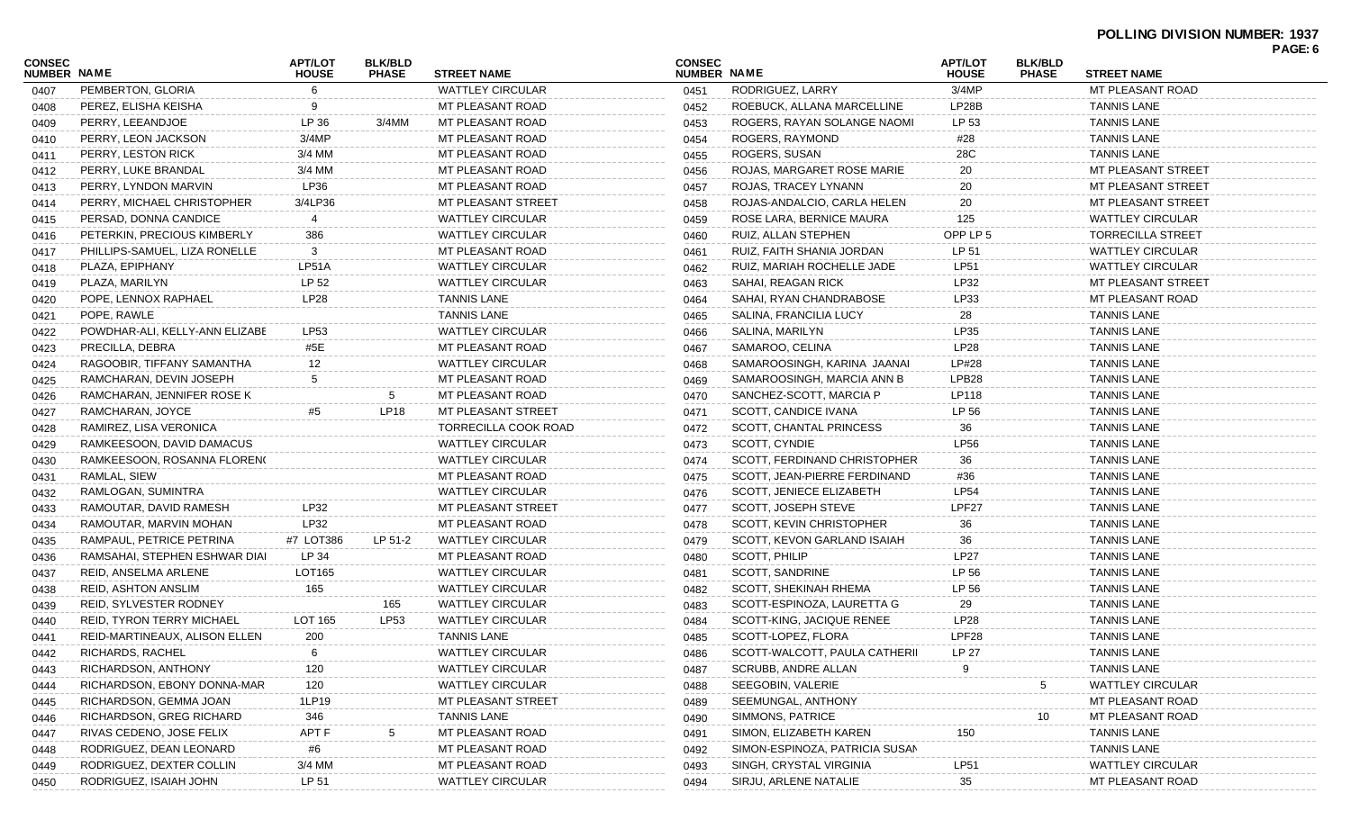| <b>CONSEC</b><br><b>NUMBER NAME</b> |                                  | <b>APT/LOT</b><br><b>HOUSE</b> | <b>BLK/BLD</b><br><b>PHASE</b> | <b>STREET NAME</b>      | <b>CONSEC</b><br><b>NUMBER NAME</b> |                                 | <b>APT/LOT</b><br><b>HOUSE</b> | <b>BLK/BLD</b><br><b>PHASE</b> | <b>STREET NAME</b>       | PAGE: 6 |
|-------------------------------------|----------------------------------|--------------------------------|--------------------------------|-------------------------|-------------------------------------|---------------------------------|--------------------------------|--------------------------------|--------------------------|---------|
| 0407                                | PEMBERTON, GLORIA                | 6                              |                                | <b>WATTLEY CIRCULAR</b> | 0451                                | RODRIGUEZ, LARRY                | 3/4MP                          |                                | MT PLEASANT ROAD         |         |
| 0408                                | PEREZ, ELISHA KEISHA             | 9                              |                                | MT PLEASANT ROAD        | 0452                                | ROEBUCK, ALLANA MARCELLINE      | LP28B                          |                                | <b>TANNIS LANE</b>       |         |
| 0409                                | PERRY, LEEANDJOE                 | LP 36                          | 3/4MM                          | MT PLEASANT ROAD        | 0453                                | ROGERS, RAYAN SOLANGE NAOMI     | LP 53                          |                                | <b>TANNIS LANE</b>       |         |
| 0410                                | PERRY, LEON JACKSON              | 3/4MP                          |                                | MT PLEASANT ROAD        | 0454                                | ROGERS, RAYMOND                 | #28                            |                                | <b>TANNIS LANE</b>       |         |
| 0411                                | PERRY, LESTON RICK               | 3/4 MM                         |                                | MT PLEASANT ROAD        | 0455                                | ROGERS, SUSAN                   | 28C                            |                                | <b>TANNIS LANE</b>       |         |
| 0412                                | PERRY, LUKE BRANDAL              | 3/4 MM                         |                                | MT PLEASANT ROAD        | 0456                                | ROJAS, MARGARET ROSE MARIE      | 20                             |                                | MT PLEASANT STREET       |         |
| 0413                                | PERRY, LYNDON MARVIN             | LP36                           |                                | MT PLEASANT ROAD        | 0457                                | ROJAS, TRACEY LYNANN            | 20                             |                                | MT PLEASANT STREET       |         |
| 0414                                | PERRY, MICHAEL CHRISTOPHER       | 3/4LP36                        |                                | MT PLEASANT STREET      | 0458                                | ROJAS-ANDALCIO, CARLA HELEN     | 20                             |                                | MT PLEASANT STREET       |         |
| 0415                                | PERSAD, DONNA CANDICE            | 4                              |                                | <b>WATTLEY CIRCULAR</b> | 0459                                | ROSE LARA, BERNICE MAURA        | 125                            |                                | <b>WATTLEY CIRCULAR</b>  |         |
| 0416                                | PETERKIN, PRECIOUS KIMBERLY      | 386                            |                                | <b>WATTLEY CIRCULAR</b> | 0460                                | RUIZ, ALLAN STEPHEN             | OPP LP 5                       |                                | <b>TORRECILLA STREET</b> |         |
| 0417                                | PHILLIPS-SAMUEL, LIZA RONELLE    | 3                              |                                | MT PLEASANT ROAD        | 0461                                | RUIZ, FAITH SHANIA JORDAN       | LP 51                          |                                | <b>WATTLEY CIRCULAR</b>  |         |
| 0418                                | PLAZA, EPIPHANY                  | LP51A                          |                                | <b>WATTLEY CIRCULAR</b> | 0462                                | RUIZ, MARIAH ROCHELLE JADE      | <b>LP51</b>                    |                                | <b>WATTLEY CIRCULAR</b>  |         |
| 0419                                | PLAZA, MARILYN                   | LP 52                          |                                | <b>WATTLEY CIRCULAR</b> | 0463                                | SAHAI, REAGAN RICK              | LP32                           |                                | MT PLEASANT STREET       |         |
| 0420                                | POPE, LENNOX RAPHAEL             | LP28                           |                                | <b>TANNIS LANE</b>      | 0464                                | SAHAI, RYAN CHANDRABOSE         | LP33                           |                                | MT PLEASANT ROAD         |         |
| 0421                                | POPE, RAWLE                      |                                |                                | <b>TANNIS LANE</b>      | 0465                                | SALINA, FRANCILIA LUCY          | 28                             |                                | <b>TANNIS LANE</b>       |         |
| 0422                                | POWDHAR-ALI, KELLY-ANN ELIZABE   | <b>LP53</b>                    |                                | <b>WATTLEY CIRCULAR</b> | 0466                                | SALINA, MARILYN                 | LP35                           |                                | <b>TANNIS LANE</b>       |         |
| 0423                                | PRECILLA, DEBRA                  | #5E                            |                                | MT PLEASANT ROAD        | 0467                                | SAMAROO, CELINA                 | LP28                           |                                | <b>TANNIS LANE</b>       |         |
| 0424                                | RAGOOBIR, TIFFANY SAMANTHA       | 12                             |                                | <b>WATTLEY CIRCULAR</b> | 0468                                | SAMAROOSINGH, KARINA JAANAI     | LP#28                          |                                | <b>TANNIS LANE</b>       |         |
| 0425                                | RAMCHARAN, DEVIN JOSEPH          | 5                              |                                | MT PLEASANT ROAD        | 0469                                | SAMAROOSINGH, MARCIA ANN B      | LPB28                          |                                | <b>TANNIS LANE</b>       |         |
| 0426                                | RAMCHARAN, JENNIFER ROSE K       |                                | 5                              | MT PLEASANT ROAD        | 0470                                | SANCHEZ-SCOTT, MARCIA P         | LP118                          |                                | <b>TANNIS LANE</b>       |         |
| 0427                                | RAMCHARAN, JOYCE                 | #5                             | <b>LP18</b>                    | MT PLEASANT STREET      | 0471                                | SCOTT, CANDICE IVANA            | LP 56                          |                                | <b>TANNIS LANE</b>       |         |
| 0428                                | RAMIREZ, LISA VERONICA           |                                |                                | TORRECILLA COOK ROAD    | 0472                                | SCOTT, CHANTAL PRINCESS         | 36                             |                                | <b>TANNIS LANE</b>       |         |
| 0429                                | RAMKEESOON, DAVID DAMACUS        |                                |                                | <b>WATTLEY CIRCULAR</b> | 0473                                | SCOTT, CYNDIE                   | <b>LP56</b>                    |                                | <b>TANNIS LANE</b>       |         |
| 0430                                | RAMKEESOON, ROSANNA FLORENO      |                                |                                | <b>WATTLEY CIRCULAR</b> | 0474                                | SCOTT, FERDINAND CHRISTOPHER    | 36                             |                                | <b>TANNIS LANE</b>       |         |
| 0431                                | RAMLAL, SIEW                     |                                |                                | MT PLEASANT ROAD        | 0475                                | SCOTT, JEAN-PIERRE FERDINAND    | #36                            |                                | <b>TANNIS LANE</b>       |         |
| 0432                                | RAMLOGAN, SUMINTRA               |                                |                                | <b>WATTLEY CIRCULAR</b> | 0476                                | <b>SCOTT, JENIECE ELIZABETH</b> | <b>LP54</b>                    |                                | <b>TANNIS LANE</b>       |         |
| 0433                                | RAMOUTAR, DAVID RAMESH           | LP32                           |                                | MT PLEASANT STREET      | 0477                                | SCOTT, JOSEPH STEVE             | LPF27                          |                                | <b>TANNIS LANE</b>       |         |
| 0434                                | RAMOUTAR, MARVIN MOHAN           | LP32                           |                                | MT PLEASANT ROAD        | 0478                                | SCOTT, KEVIN CHRISTOPHER        | 36                             |                                | <b>TANNIS LANE</b>       |         |
| 0435                                | RAMPAUL, PETRICE PETRINA         | #7 LOT386                      | LP 51-2                        | <b>WATTLEY CIRCULAR</b> | 0479                                | SCOTT, KEVON GARLAND ISAIAH     | 36                             |                                | <b>TANNIS LANE</b>       |         |
| 0436                                | RAMSAHAI, STEPHEN ESHWAR DIAI    | LP 34                          |                                | MT PLEASANT ROAD        | 0480                                | SCOTT, PHILIP                   | <b>LP27</b>                    |                                | <b>TANNIS LANE</b>       |         |
| 0437                                | REID, ANSELMA ARLENE             | LOT165                         |                                | <b>WATTLEY CIRCULAR</b> | 0481                                | SCOTT, SANDRINE                 | LP 56                          |                                | <b>TANNIS LANE</b>       |         |
| 0438                                | <b>REID, ASHTON ANSLIM</b>       | 165                            |                                | <b>WATTLEY CIRCULAR</b> | 0482                                | <b>SCOTT, SHEKINAH RHEMA</b>    | LP 56                          |                                | <b>TANNIS LANE</b>       |         |
| 0439                                | REID, SYLVESTER RODNEY           |                                | 165                            | <b>WATTLEY CIRCULAR</b> | 0483                                | SCOTT-ESPINOZA, LAURETTA G      | 29                             |                                | <b>TANNIS LANE</b>       |         |
| 0440                                | <b>REID, TYRON TERRY MICHAEL</b> | LOT 165                        | LP53                           | <b>WATTLEY CIRCULAR</b> | 0484                                | SCOTT-KING, JACIQUE RENEE       | LP28                           |                                | <b>TANNIS LANE</b>       |         |
| 0441                                | REID-MARTINEAUX, ALISON ELLEN    | 200                            |                                | <b>TANNIS LANE</b>      | 0485                                | SCOTT-LOPEZ, FLORA              | LPF28                          |                                | <b>TANNIS LANE</b>       |         |
| 0442                                | RICHARDS, RACHEL                 | 6                              |                                | <b>WATTLEY CIRCULAR</b> | 0486                                | SCOTT-WALCOTT, PAULA CATHERII   | LP 27                          |                                | <b>TANNIS LANE</b>       |         |
| 0443                                | RICHARDSON, ANTHONY              | 120                            |                                | <b>WATTLEY CIRCULAR</b> | 0487                                | SCRUBB, ANDRE ALLAN             |                                |                                | <b>TANNIS LANE</b>       |         |
| 0444                                | RICHARDSON, EBONY DONNA-MAR      | 120                            |                                | <b>WATTLEY CIRCULAR</b> | 0488                                | SEEGOBIN, VALERIE               |                                | 5                              | <b>WATTLEY CIRCULAR</b>  |         |
| 0445                                | RICHARDSON, GEMMA JOAN           | 1LP19                          |                                | MT PLEASANT STREET      | 0489                                | SEEMUNGAL, ANTHONY              |                                |                                | MT PLEASANT ROAD         |         |
| 0446                                | RICHARDSON, GREG RICHARD         | 346                            |                                | <b>TANNIS LANE</b>      | 0490                                | SIMMONS, PATRICE                |                                | 10                             | MT PLEASANT ROAD         |         |
| 0447                                | RIVAS CEDENO, JOSE FELIX         | APT F                          | 5                              | MT PLEASANT ROAD        | 0491                                | SIMON, ELIZABETH KAREN          | 150                            |                                | <b>TANNIS LANE</b>       |         |
| 0448                                | RODRIGUEZ, DEAN LEONARD          | #6                             |                                | MT PLEASANT ROAD        | 0492                                | SIMON-ESPINOZA, PATRICIA SUSAN  |                                |                                | <b>TANNIS LANE</b>       |         |
| 0449                                | RODRIGUEZ, DEXTER COLLIN         | 3/4 MM                         |                                | MT PLEASANT ROAD        | 0493                                | SINGH, CRYSTAL VIRGINIA         | LP51                           |                                | <b>WATTLEY CIRCULAR</b>  |         |
| 0450                                | RODRIGUEZ, ISAIAH JOHN           | LP 51                          |                                | <b>WATTLEY CIRCULAR</b> | 0494                                | SIRJU, ARLENE NATALIE           | 35                             |                                | MT PLEASANT ROAD         |         |
|                                     |                                  |                                |                                |                         |                                     |                                 |                                |                                |                          |         |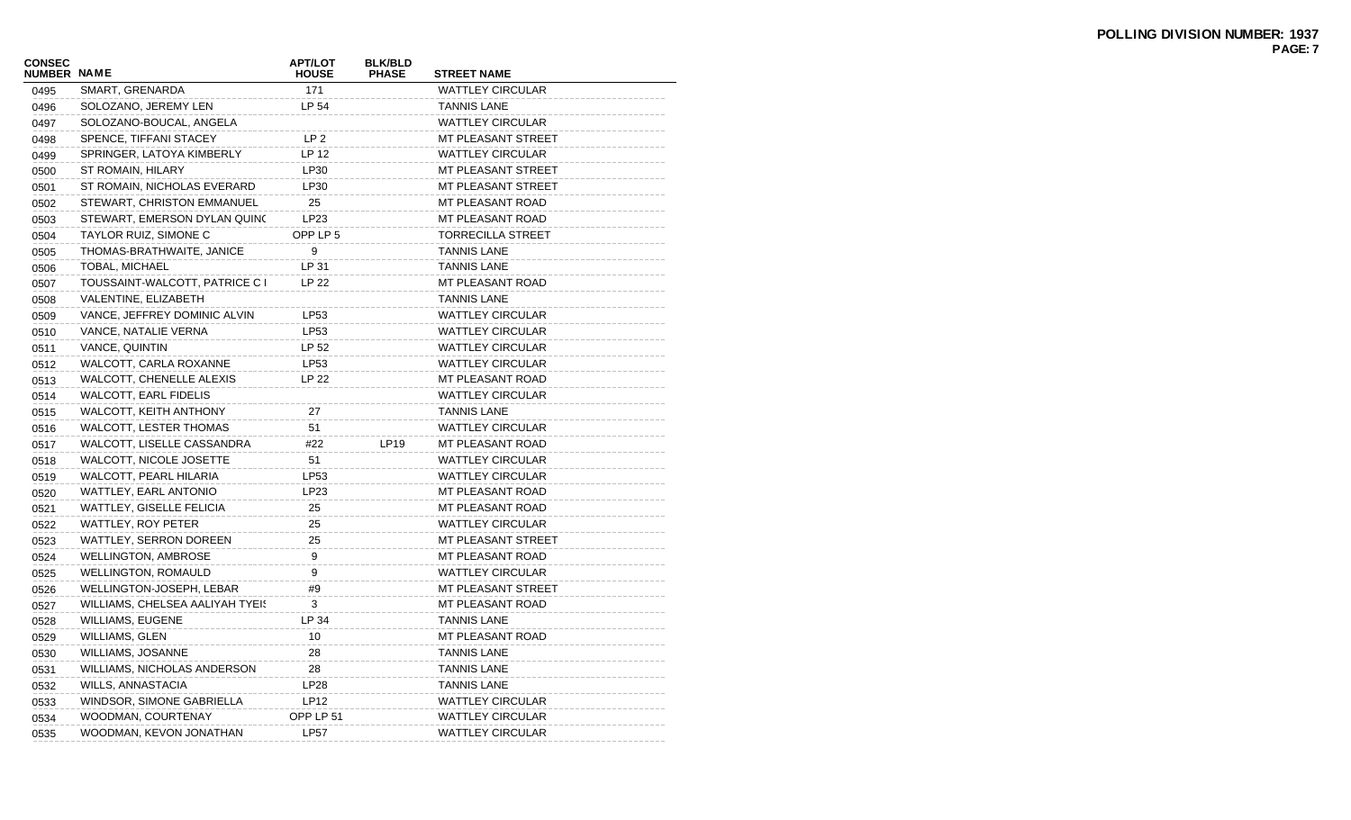| <b>CONSEC</b><br><b>NUMBER NAME</b> |                                 | <b>APT/LOT</b><br><b>HOUSE</b> | <b>BLK/BLD</b><br><b>PHASE</b> | <b>STREET NAME</b>       |
|-------------------------------------|---------------------------------|--------------------------------|--------------------------------|--------------------------|
| 0495                                | SMART, GRENARDA                 | 171                            |                                | <b>WATTLEY CIRCULAR</b>  |
| 0496                                | SOLOZANO, JEREMY LEN            | LP 54                          |                                | <b>TANNIS LANE</b>       |
| 0497                                | SOLOZANO-BOUCAL, ANGELA         |                                |                                | <b>WATTLEY CIRCULAR</b>  |
| 0498                                | SPENCE, TIFFANI STACEY          | LP <sub>2</sub>                |                                | MT PLEASANT STREET       |
| 0499                                | SPRINGER, LATOYA KIMBERLY       | LP 12                          |                                | <b>WATTLEY CIRCULAR</b>  |
| 0500                                | ST ROMAIN, HILARY               | LP30                           |                                | MT PLEASANT STREET       |
| 0501                                | ST ROMAIN, NICHOLAS EVERARD     | LP30                           |                                | MT PLEASANT STREET       |
| 0502                                | STEWART, CHRISTON EMMANUEL      | 25                             |                                | <b>MT PLEASANT ROAD</b>  |
| 0503                                | STEWART, EMERSON DYLAN QUINC    | LP23                           |                                | MT PLEASANT ROAD         |
| 0504                                | <b>TAYLOR RUIZ, SIMONE C</b>    | OPP LP 5                       |                                | <b>TORRECILLA STREET</b> |
| 0505                                | THOMAS-BRATHWAITE, JANICE       | 9                              |                                | <b>TANNIS LANE</b>       |
| 0506                                | <b>TOBAL, MICHAEL</b>           | LP 31                          |                                | <b>TANNIS LANE</b>       |
| 0507                                | TOUSSAINT-WALCOTT, PATRICE C I  | <b>LP 22</b>                   |                                | <b>MT PLEASANT ROAD</b>  |
| 0508                                | VALENTINE, ELIZABETH            |                                |                                | <b>TANNIS LANE</b>       |
| 0509                                | VANCE, JEFFREY DOMINIC ALVIN    | LP53                           |                                | <b>WATTLEY CIRCULAR</b>  |
| 0510                                | VANCE, NATALIE VERNA            | LP53                           |                                | <b>WATTLEY CIRCULAR</b>  |
| 0511                                | VANCE, QUINTIN                  | LP 52                          |                                | <b>WATTLEY CIRCULAR</b>  |
| 0512                                | WALCOTT, CARLA ROXANNE          | LP53                           |                                | <b>WATTLEY CIRCULAR</b>  |
| 0513                                | WALCOTT, CHENELLE ALEXIS        | LP 22                          |                                | MT PLEASANT ROAD         |
| 0514                                | <b>WALCOTT, EARL FIDELIS</b>    |                                |                                | <b>WATTLEY CIRCULAR</b>  |
| 0515                                | WALCOTT, KEITH ANTHONY          | 27                             |                                | <b>TANNIS LANE</b>       |
| 0516                                | <b>WALCOTT, LESTER THOMAS</b>   | 51                             |                                | <b>WATTLEY CIRCULAR</b>  |
| 0517                                | WALCOTT, LISELLE CASSANDRA      | #22                            | LP19                           | MT PLEASANT ROAD         |
| 0518                                | WALCOTT, NICOLE JOSETTE         | 51                             |                                | <b>WATTLEY CIRCULAR</b>  |
| 0519                                | WALCOTT, PEARL HILARIA          | LP53                           |                                | <b>WATTLEY CIRCULAR</b>  |
| 0520                                | WATTLEY, EARL ANTONIO           | LP23                           |                                | MT PLEASANT ROAD         |
| 0521                                | WATTLEY, GISELLE FELICIA        | 25                             |                                | <b>MT PLEASANT ROAD</b>  |
| 0522                                | WATTLEY, ROY PETER              | 25                             |                                | <b>WATTLEY CIRCULAR</b>  |
| 0523                                | WATTLEY, SERRON DOREEN          | 25                             |                                | MT PLEASANT STREET       |
| 0524                                | <b>WELLINGTON, AMBROSE</b>      | 9                              |                                | <b>MT PLEASANT ROAD</b>  |
| 0525                                | <b>WELLINGTON, ROMAULD</b>      | 9                              |                                | <b>WATTLEY CIRCULAR</b>  |
| 0526                                | WELLINGTON-JOSEPH, LEBAR        | #9                             |                                | MT PLEASANT STREET       |
| 0527                                | WILLIAMS, CHELSEA AALIYAH TYEI! | 3                              |                                | MT PLEASANT ROAD         |
| 0528                                | <b>WILLIAMS, EUGENE</b>         | LP 34                          |                                | <b>TANNIS LANE</b>       |
| 0529                                | <b>WILLIAMS, GLEN</b>           | 10                             |                                | MT PLEASANT ROAD         |
| 0530                                | WILLIAMS, JOSANNE               | 28                             |                                | <b>TANNIS LANE</b>       |
| 0531                                | WILLIAMS, NICHOLAS ANDERSON     | 28                             |                                | <b>TANNIS LANE</b>       |
| 0532                                | WILLS, ANNASTACIA               | LP28                           |                                | <b>TANNIS LANE</b>       |
| 0533                                | WINDSOR, SIMONE GABRIELLA       | LP12                           |                                | <b>WATTLEY CIRCULAR</b>  |
| 0534                                | WOODMAN, COURTENAY              | OPP LP 51                      |                                | <b>WATTLEY CIRCULAR</b>  |
| 0535                                | WOODMAN, KEVON JONATHAN         | <b>LP57</b>                    |                                | <b>WATTLEY CIRCULAR</b>  |
|                                     |                                 |                                |                                |                          |